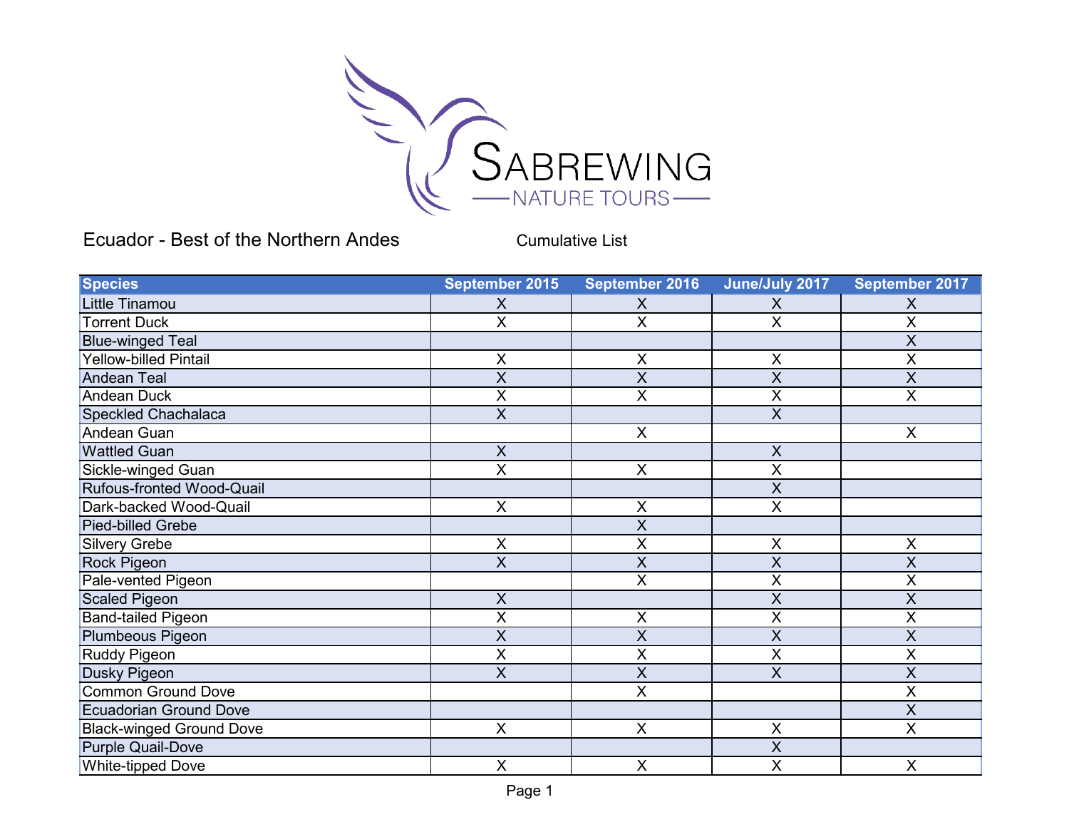

Ecuador - Best of the Northern Andes

Cumulative List

| <b>Species</b>                  | September 2015            | September 2016          | June/July 2017          | September 2017 |
|---------------------------------|---------------------------|-------------------------|-------------------------|----------------|
| Little Tinamou                  | X                         | X                       | Χ                       | X              |
| <b>Torrent Duck</b>             | X                         | X                       | X                       | Χ              |
| <b>Blue-winged Teal</b>         |                           |                         |                         | $\sf X$        |
| <b>Yellow-billed Pintail</b>    | X                         | $\sf X$                 | $\mathsf X$             | X              |
| <b>Andean Teal</b>              | X                         | $\sf X$                 | X                       | $\sf X$        |
| Andean Duck                     | Χ                         | X                       | $\overline{X}$          | X              |
| Speckled Chachalaca             | $\boldsymbol{\mathsf{X}}$ |                         | $\overline{X}$          |                |
| Andean Guan                     |                           | $\sf X$                 |                         | $\times$       |
| <b>Wattled Guan</b>             | $\boldsymbol{X}$          |                         | $\mathsf{X}$            |                |
| Sickle-winged Guan              | X                         | $\pmb{\times}$          | $\sf X$                 |                |
| Rufous-fronted Wood-Quail       |                           |                         | $\sf X$                 |                |
| Dark-backed Wood-Quail          | $\pmb{\times}$            | $\sf X$                 | $\overline{\mathsf{x}}$ |                |
| Pied-billed Grebe               |                           | X                       |                         |                |
| <b>Silvery Grebe</b>            | X                         | X                       | X                       | $\mathsf X$    |
| Rock Pigeon                     | $\overline{X}$            | $\overline{X}$          | $\sf X$                 | $\sf X$        |
| Pale-vented Pigeon              |                           | $\overline{\mathsf{x}}$ | $\overline{X}$          | X              |
| <b>Scaled Pigeon</b>            | X                         |                         | X                       | X              |
| <b>Band-tailed Pigeon</b>       | X                         | X                       | $\overline{X}$          | X              |
| Plumbeous Pigeon                | X                         | $\pmb{\mathsf{X}}$      | $\sf X$                 | X              |
| Ruddy Pigeon                    | $\overline{X}$            | $\overline{\mathsf{x}}$ | X                       | X              |
| Dusky Pigeon                    | X                         | $\sf X$                 | X                       | X              |
| <b>Common Ground Dove</b>       |                           | $\overline{\mathsf{x}}$ |                         | X              |
| <b>Ecuadorian Ground Dove</b>   |                           |                         |                         | X              |
| <b>Black-winged Ground Dove</b> | $\pmb{\times}$            | $\sf X$                 | $\overline{X}$          | X              |
| <b>Purple Quail-Dove</b>        |                           |                         | X                       |                |
| <b>White-tipped Dove</b>        | $\boldsymbol{\mathsf{X}}$ | X                       | $\overline{X}$          | X              |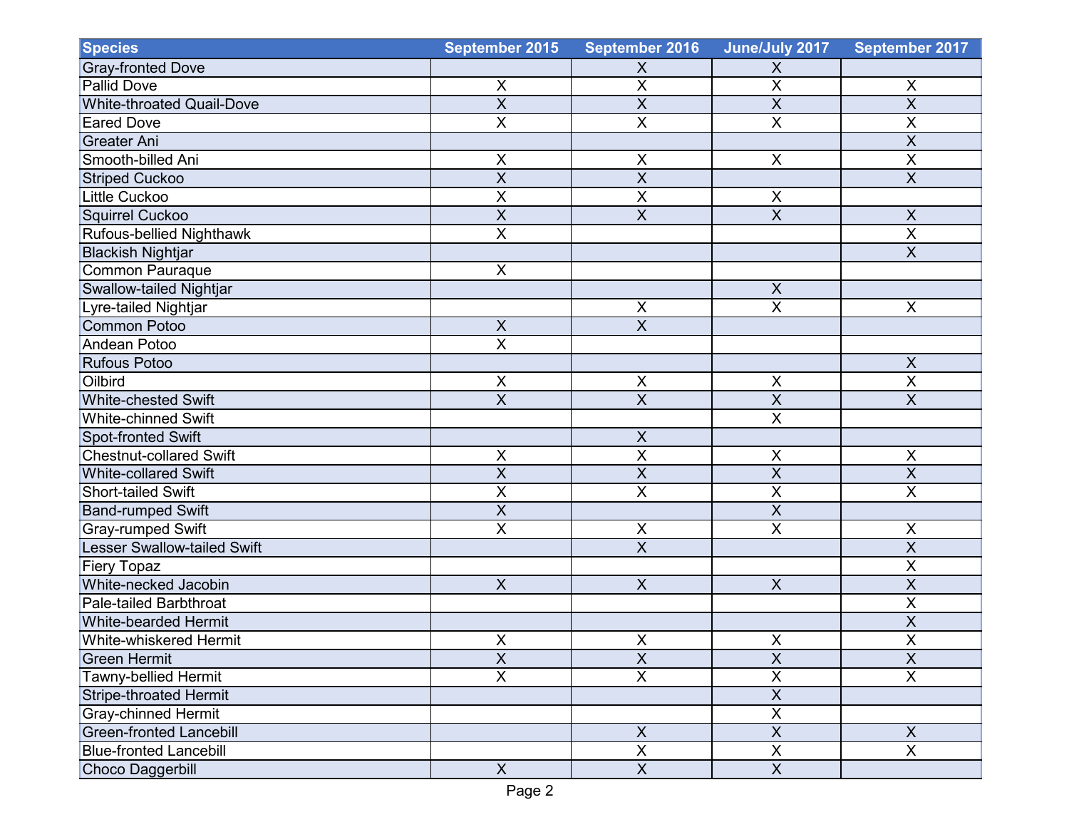| <b>Species</b>                     | September 2015          | <b>September 2016</b>   | June/July 2017          | September 2017          |
|------------------------------------|-------------------------|-------------------------|-------------------------|-------------------------|
| <b>Gray-fronted Dove</b>           |                         | $\mathsf X$             | X                       |                         |
| <b>Pallid Dove</b>                 | $\mathsf{X}$            | $\overline{\mathsf{X}}$ | $\overline{X}$          | $\pmb{\times}$          |
| <b>White-throated Quail-Dove</b>   | $\overline{X}$          | $\overline{\mathsf{x}}$ | $\overline{X}$          | $\overline{\mathsf{X}}$ |
| <b>Eared Dove</b>                  | $\overline{X}$          | X                       | $\overline{\mathsf{X}}$ | $\overline{X}$          |
| <b>Greater Ani</b>                 |                         |                         |                         | $\overline{X}$          |
| Smooth-billed Ani                  | X                       | $\pmb{\mathsf{X}}$      | $\pmb{\times}$          | $\overline{X}$          |
| <b>Striped Cuckoo</b>              | $\overline{X}$          | X                       |                         | $\overline{\mathsf{X}}$ |
| <b>Little Cuckoo</b>               | $\overline{X}$          | X                       | X                       |                         |
| <b>Squirrel Cuckoo</b>             | $\overline{X}$          | $\overline{\mathsf{X}}$ | $\overline{X}$          | $\mathsf X$             |
| Rufous-bellied Nighthawk           | $\overline{\mathsf{x}}$ |                         |                         | $\overline{\mathsf{X}}$ |
| <b>Blackish Nightjar</b>           |                         |                         |                         | $\overline{X}$          |
| Common Pauraque                    | $\overline{X}$          |                         |                         |                         |
| Swallow-tailed Nightjar            |                         |                         | $\pmb{\times}$          |                         |
| Lyre-tailed Nightjar               |                         | $\pmb{\mathsf{X}}$      | $\overline{X}$          | $\pmb{\times}$          |
| <b>Common Potoo</b>                | $\overline{X}$          | X                       |                         |                         |
| <b>Andean Potoo</b>                | $\overline{X}$          |                         |                         |                         |
| <b>Rufous Potoo</b>                |                         |                         |                         | $\mathsf X$             |
| Oilbird                            | $\mathsf{X}$            | $\mathsf X$             | $\pmb{\times}$          | $\overline{\mathsf{X}}$ |
| <b>White-chested Swift</b>         | $\overline{X}$          | $\overline{\mathsf{x}}$ | $\overline{\mathsf{X}}$ | $\overline{\mathsf{x}}$ |
| <b>White-chinned Swift</b>         |                         |                         | $\overline{X}$          |                         |
| Spot-fronted Swift                 |                         | $\pmb{\mathsf{X}}$      |                         |                         |
| <b>Chestnut-collared Swift</b>     | $\pmb{\times}$          | $\overline{\mathsf{x}}$ | $\times$                | $\pmb{\times}$          |
| <b>White-collared Swift</b>        | $\overline{X}$          | $\overline{X}$          | $\overline{\mathsf{x}}$ | $\overline{X}$          |
| Short-tailed Swift                 | $\mathsf X$             | $\overline{\mathsf{x}}$ | $\overline{X}$          | $\overline{X}$          |
| <b>Band-rumped Swift</b>           | $\overline{X}$          |                         | $\overline{\mathsf{x}}$ |                         |
| <b>Gray-rumped Swift</b>           | $\overline{X}$          | X                       | $\overline{\mathsf{x}}$ | $\overline{X}$          |
| <b>Lesser Swallow-tailed Swift</b> |                         | $\overline{X}$          |                         | $\overline{X}$          |
| Fiery Topaz                        |                         |                         |                         | $\sf X$                 |
| White-necked Jacobin               | $\overline{X}$          | $\overline{X}$          | $\overline{\mathsf{x}}$ | $\overline{\mathsf{X}}$ |
| Pale-tailed Barbthroat             |                         |                         |                         | $\overline{X}$          |
| <b>White-bearded Hermit</b>        |                         |                         |                         | $\overline{X}$          |
| White-whiskered Hermit             | $\pmb{\times}$          | $\pmb{\mathsf{X}}$      | $\mathsf X$             | $\overline{X}$          |
| <b>Green Hermit</b>                | $\overline{X}$          | $\overline{\mathsf{X}}$ | $\overline{X}$          | $\overline{\mathsf{X}}$ |
| Tawny-bellied Hermit               | $\overline{X}$          | $\overline{X}$          | $\overline{X}$          | $\overline{\mathsf{x}}$ |
| <b>Stripe-throated Hermit</b>      |                         |                         | $\overline{X}$          |                         |
| <b>Gray-chinned Hermit</b>         |                         |                         | $\overline{X}$          |                         |
| <b>Green-fronted Lancebill</b>     |                         | $\overline{\mathsf{X}}$ | $\overline{X}$          | $\overline{X}$          |
| <b>Blue-fronted Lancebill</b>      |                         | $\overline{\mathsf{x}}$ | $\overline{X}$          | $\overline{\mathsf{x}}$ |
| <b>Choco Daggerbill</b>            | X                       | $\overline{X}$          | $\overline{X}$          |                         |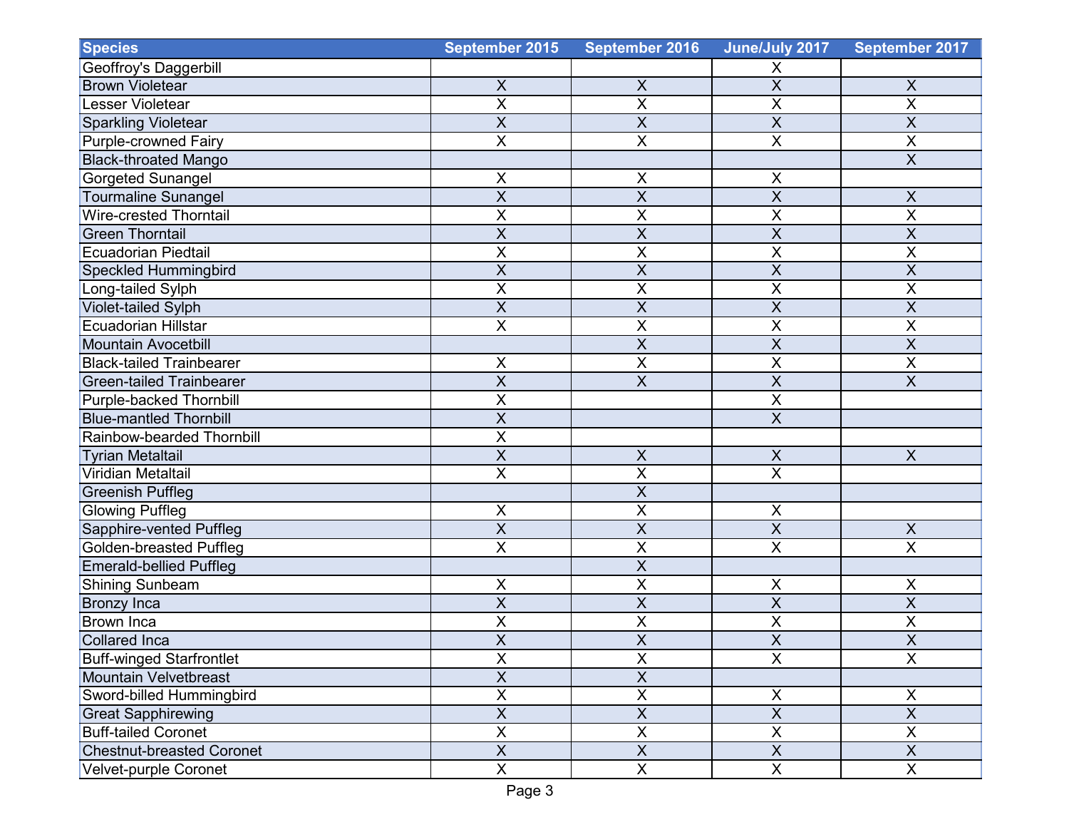| <b>Species</b>                   | September 2015            | <b>September 2016</b>   | June/July 2017            | September 2017            |
|----------------------------------|---------------------------|-------------------------|---------------------------|---------------------------|
| Geoffroy's Daggerbill            |                           |                         | X                         |                           |
| <b>Brown Violetear</b>           | $\pmb{\times}$            | $\pmb{\times}$          | $\overline{X}$            | $\pmb{\times}$            |
| Lesser Violetear                 | $\sf X$                   | X                       | $\pmb{\mathsf{X}}$        | $\mathsf X$               |
| <b>Sparkling Violetear</b>       | $\overline{X}$            | $\overline{\mathsf{x}}$ | $\overline{\mathsf{X}}$   | $\overline{\mathsf{x}}$   |
| <b>Purple-crowned Fairy</b>      | $\overline{X}$            | X                       | $\sf X$                   | $\overline{X}$            |
| <b>Black-throated Mango</b>      |                           |                         |                           | $\overline{X}$            |
| Gorgeted Sunangel                | $\mathsf X$               | Χ                       | X                         |                           |
| <b>Tourmaline Sunangel</b>       | $\overline{X}$            | $\overline{\mathsf{x}}$ | $\overline{X}$            | $\sf X$                   |
| <b>Wire-crested Thorntail</b>    | $\sf X$                   | X                       | $\overline{X}$            | X                         |
| <b>Green Thorntail</b>           | $\overline{\mathsf{X}}$   | $\overline{\mathsf{X}}$ | $\overline{\mathsf{x}}$   | $\overline{\mathsf{X}}$   |
| <b>Ecuadorian Piedtail</b>       | $\overline{X}$            | X                       | X                         | X                         |
| <b>Speckled Hummingbird</b>      | $\overline{X}$            | $\overline{X}$          | $\overline{\mathsf{x}}$   | $\overline{X}$            |
| Long-tailed Sylph                | X                         | X                       | X                         | Χ                         |
| Violet-tailed Sylph              | X                         | X                       | $\sf X$                   | X                         |
| <b>Ecuadorian Hillstar</b>       | $\overline{\mathsf{X}}$   | X                       | $\overline{\mathsf{X}}$   | X                         |
| <b>Mountain Avocetbill</b>       |                           | $\overline{\mathsf{X}}$ | $\overline{\mathsf{x}}$   | $\overline{X}$            |
| <b>Black-tailed Trainbearer</b>  | X                         | X                       | X                         | X                         |
| <b>Green-tailed Trainbearer</b>  | X                         | X                       | $\overline{X}$            | $\overline{X}$            |
| Purple-backed Thornbill          | $\overline{X}$            |                         | $\overline{\mathsf{X}}$   |                           |
| <b>Blue-mantled Thornbill</b>    | $\overline{X}$            |                         | $\overline{\mathsf{X}}$   |                           |
| Rainbow-bearded Thornbill        | $\times$                  |                         |                           |                           |
| <b>Tyrian Metaltail</b>          | $\sf X$                   | X                       | $\boldsymbol{\mathsf{X}}$ | $\boldsymbol{\mathsf{X}}$ |
| Viridian Metaltail               | $\overline{\mathsf{X}}$   | $\overline{\mathsf{x}}$ | $\overline{\mathsf{X}}$   |                           |
| <b>Greenish Puffleg</b>          |                           | $\overline{\mathsf{x}}$ |                           |                           |
| <b>Glowing Puffleg</b>           | $\sf X$                   | X                       | $\sf X$                   |                           |
| Sapphire-vented Puffleg          | $\overline{X}$            | X                       | $\overline{\mathsf{X}}$   | $\overline{X}$            |
| <b>Golden-breasted Puffleg</b>   | $\pmb{\times}$            | X                       | $\overline{X}$            | X                         |
| <b>Emerald-bellied Puffleg</b>   |                           | X                       |                           |                           |
| Shining Sunbeam                  | X                         | X                       | X                         | Χ                         |
| <b>Bronzy Inca</b>               | $\overline{X}$            | $\sf X$                 | $\overline{X}$            | $\overline{X}$            |
| <b>Brown Inca</b>                | $\overline{\mathsf{x}}$   | $\overline{\mathsf{x}}$ | $\overline{\mathsf{X}}$   | $\overline{\mathsf{x}}$   |
| <b>Collared Inca</b>             | $\overline{X}$            | $\overline{\mathsf{x}}$ | $\overline{\mathsf{X}}$   | $\overline{\mathsf{X}}$   |
| <b>Buff-winged Starfrontlet</b>  | $\overline{X}$            | X                       | $\overline{X}$            | $\overline{X}$            |
| Mountain Velvetbreast            | $\overline{\mathsf{X}}$   | $\overline{X}$          |                           |                           |
| Sword-billed Hummingbird         | $\pmb{\times}$            | $\overline{X}$          | X                         | X                         |
| <b>Great Sapphirewing</b>        | $\overline{\mathsf{x}}$   | $\overline{\mathsf{X}}$ | $\overline{X}$            | $\overline{X}$            |
| <b>Buff-tailed Coronet</b>       | $\pmb{\times}$            | $\mathsf X$             | $\boldsymbol{\mathsf{X}}$ | X                         |
| <b>Chestnut-breasted Coronet</b> | $\boldsymbol{\mathsf{X}}$ | $\overline{X}$          | $\overline{X}$            | $\pmb{\times}$            |
| Velvet-purple Coronet            | $\overline{X}$            | $\overline{X}$          | $\overline{X}$            | $\overline{X}$            |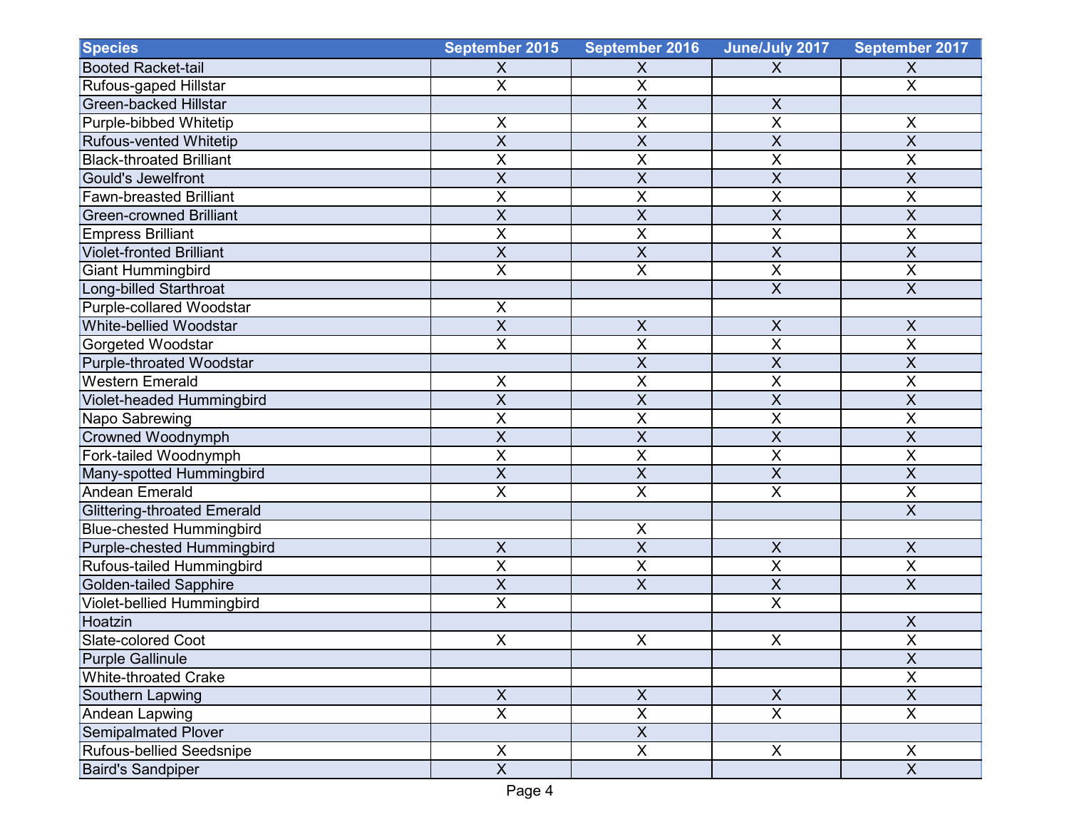| <b>Species</b>                     | September 2015            | September 2016          | June/July 2017            | September 2017            |
|------------------------------------|---------------------------|-------------------------|---------------------------|---------------------------|
| <b>Booted Racket-tail</b>          | X                         | X                       | X                         | X                         |
| Rufous-gaped Hillstar              | $\overline{X}$            | X                       |                           | $\pmb{\times}$            |
| <b>Green-backed Hillstar</b>       |                           | X                       | $\boldsymbol{\mathsf{X}}$ |                           |
| Purple-bibbed Whitetip             | $\sf X$                   | X                       | X                         | $\mathsf X$               |
| Rufous-vented Whitetip             | $\overline{\mathsf{x}}$   | X                       | $\overline{X}$            | $\overline{X}$            |
| <b>Black-throated Brilliant</b>    | X                         | X                       | X                         | Χ                         |
| Gould's Jewelfront                 | $\overline{X}$            | X                       | $\overline{\mathsf{x}}$   | $\overline{X}$            |
| <b>Fawn-breasted Brilliant</b>     | $\overline{\mathsf{X}}$   | X                       | $\overline{\mathsf{X}}$   | $\overline{\mathsf{X}}$   |
| <b>Green-crowned Brilliant</b>     | $\sf X$                   | X                       | $\overline{X}$            | $\sf X$                   |
| <b>Empress Brilliant</b>           | $\overline{X}$            | X                       | $\overline{X}$            | $\overline{X}$            |
| <b>Violet-fronted Brilliant</b>    | $\overline{X}$            | X                       | $\overline{\mathsf{x}}$   | $\overline{\mathsf{X}}$   |
| <b>Giant Hummingbird</b>           | $\overline{X}$            | X                       | $\overline{X}$            | $\overline{X}$            |
| Long-billed Starthroat             |                           |                         | $\mathsf X$               | $\sf X$                   |
| Purple-collared Woodstar           | X                         |                         |                           |                           |
| White-bellied Woodstar             | $\overline{X}$            | $\pmb{\mathsf{X}}$      | $\sf X$                   | $\mathsf X$               |
| Gorgeted Woodstar                  | $\overline{\mathsf{X}}$   | $\overline{\mathsf{x}}$ | $\overline{\mathsf{x}}$   | $\overline{\mathsf{x}}$   |
| Purple-throated Woodstar           |                           | X                       | $\overline{X}$            | X                         |
| Western Emerald                    | $\sf X$                   | X                       | X                         | X                         |
| Violet-headed Hummingbird          | $\overline{X}$            | X                       | $\overline{\mathsf{x}}$   | $\overline{X}$            |
| Napo Sabrewing                     | $\mathsf X$               | $\overline{\mathsf{x}}$ | $\overline{\mathsf{X}}$   | X                         |
| <b>Crowned Woodnymph</b>           | $\sf X$                   | X                       | $\sf X$                   | X                         |
| Fork-tailed Woodnymph              | X                         | Χ                       | X                         | X                         |
| Many-spotted Hummingbird           | $\overline{X}$            | $\overline{\mathsf{x}}$ | $\overline{\mathsf{X}}$   | $\overline{\mathsf{x}}$   |
| <b>Andean Emerald</b>              | $\overline{X}$            | $\overline{\mathsf{x}}$ | $\overline{\mathsf{x}}$   | $\overline{\mathsf{x}}$   |
| <b>Glittering-throated Emerald</b> |                           |                         |                           | X                         |
| <b>Blue-chested Hummingbird</b>    |                           | $\sf X$                 |                           |                           |
| Purple-chested Hummingbird         | $\mathsf X$               | $\overline{\mathsf{x}}$ | $\boldsymbol{\mathsf{X}}$ | $\mathsf X$               |
| Rufous-tailed Hummingbird          | $\mathsf X$               | X                       | $\sf X$                   | $\pmb{\times}$            |
| <b>Golden-tailed Sapphire</b>      | $\overline{X}$            | X                       | $\overline{X}$            | X                         |
| Violet-bellied Hummingbird         | $\mathsf X$               |                         | $\boldsymbol{\mathsf{X}}$ |                           |
| Hoatzin                            |                           |                         |                           | X                         |
| Slate-colored Coot                 | $\mathsf X$               | $\sf X$                 | $\sf X$                   | $\mathbf{x}$<br>$\lambda$ |
| <b>Purple Gallinule</b>            |                           |                         |                           | $\overline{X}$            |
| <b>White-throated Crake</b>        |                           |                         |                           | $\mathsf X$               |
| Southern Lapwing                   | $\boldsymbol{\mathsf{X}}$ | $\mathsf X$             | $\mathsf{X}$              | $\boldsymbol{\mathsf{X}}$ |
| Andean Lapwing                     | $\overline{\mathsf{x}}$   | $\overline{\mathsf{x}}$ | $\overline{\mathsf{x}}$   | $\overline{\mathsf{x}}$   |
| <b>Semipalmated Plover</b>         |                           | $\overline{X}$          |                           |                           |
| Rufous-bellied Seedsnipe           | $\pmb{\times}$            | $\overline{X}$          | $\mathsf{X}$              | X                         |
| <b>Baird's Sandpiper</b>           | $\overline{X}$            |                         |                           | $\overline{\mathsf{x}}$   |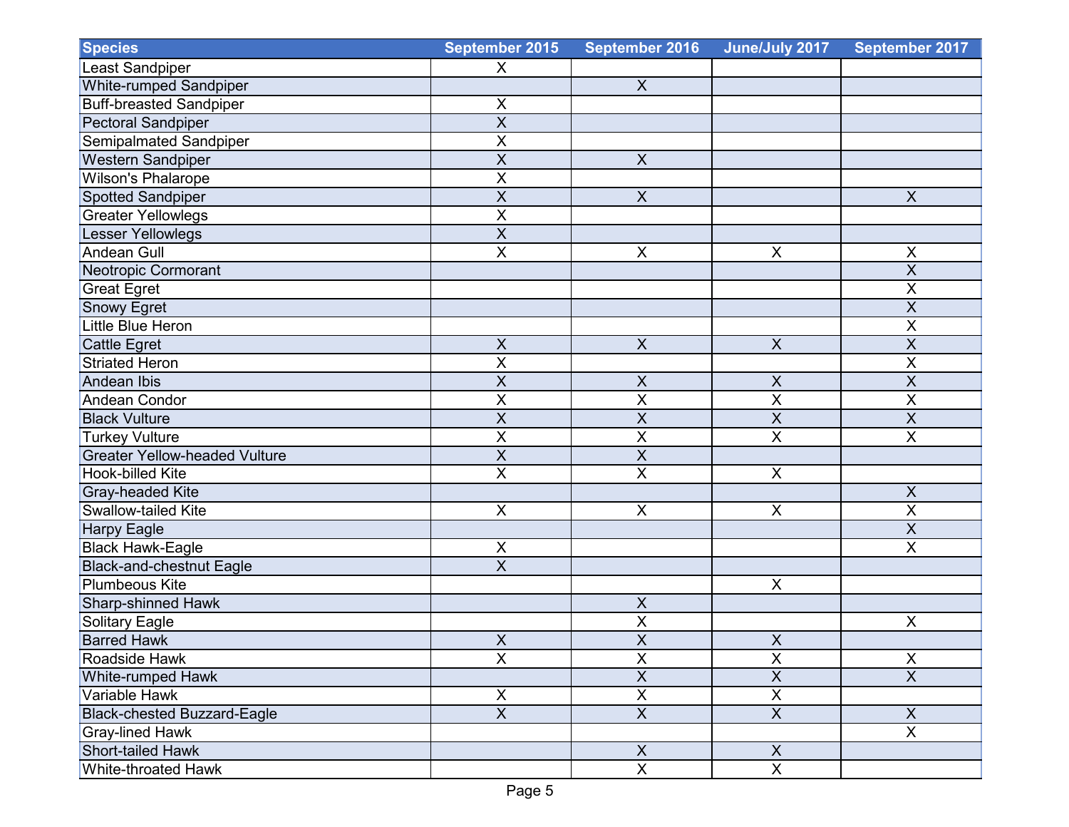| <b>Species</b>                       | September 2015            | September 2016            | June/July 2017            | September 2017          |
|--------------------------------------|---------------------------|---------------------------|---------------------------|-------------------------|
| <b>Least Sandpiper</b>               | X                         |                           |                           |                         |
| White-rumped Sandpiper               |                           | $\pmb{\times}$            |                           |                         |
| <b>Buff-breasted Sandpiper</b>       | $\pmb{\times}$            |                           |                           |                         |
| <b>Pectoral Sandpiper</b>            | $\overline{X}$            |                           |                           |                         |
| Semipalmated Sandpiper               | $\overline{X}$            |                           |                           |                         |
| <b>Western Sandpiper</b>             | $\overline{X}$            | $\boldsymbol{\mathsf{X}}$ |                           |                         |
| <b>Wilson's Phalarope</b>            | $\sf X$                   |                           |                           |                         |
| Spotted Sandpiper                    | $\overline{\mathsf{x}}$   | $\overline{X}$            |                           | $\overline{\mathsf{X}}$ |
| <b>Greater Yellowlegs</b>            | $\mathsf X$               |                           |                           |                         |
| Lesser Yellowlegs                    | $\sf X$                   |                           |                           |                         |
| <b>Andean Gull</b>                   | $\overline{X}$            | $\mathsf X$               | $\boldsymbol{\mathsf{X}}$ | $\mathsf X$             |
| Neotropic Cormorant                  |                           |                           |                           | $\overline{\mathsf{x}}$ |
| <b>Great Egret</b>                   |                           |                           |                           | $\mathsf X$             |
| Snowy Egret                          |                           |                           |                           | $\overline{X}$          |
| Little Blue Heron                    |                           |                           |                           | $\overline{X}$          |
| <b>Cattle Egret</b>                  | $\overline{X}$            | $\overline{X}$            | $\boldsymbol{\mathsf{X}}$ | $\overline{X}$          |
| <b>Striated Heron</b>                | $\sf X$                   |                           |                           | $\sf X$                 |
| <b>Andean Ibis</b>                   | $\sf X$                   | $\mathsf X$               | $\boldsymbol{\mathsf{X}}$ | $\overline{X}$          |
| <b>Andean Condor</b>                 | $\overline{\mathsf{X}}$   | $\overline{\mathsf{x}}$   | $\overline{\mathsf{x}}$   | $\overline{\mathsf{X}}$ |
| <b>Black Vulture</b>                 | $\overline{X}$            | $\overline{\mathsf{X}}$   | $\overline{X}$            | $\overline{X}$          |
| <b>Turkey Vulture</b>                | $\sf X$                   | X                         | $\overline{\mathsf{x}}$   | $\overline{X}$          |
| <b>Greater Yellow-headed Vulture</b> | $\overline{X}$            | X                         |                           |                         |
| <b>Hook-billed Kite</b>              | $\overline{\mathsf{x}}$   | $\sf X$                   | X                         |                         |
| <b>Gray-headed Kite</b>              |                           |                           |                           | $\pmb{\times}$          |
| Swallow-tailed Kite                  | X                         | $\pmb{\times}$            | X                         | $\overline{X}$          |
| <b>Harpy Eagle</b>                   |                           |                           |                           | $\overline{\mathsf{X}}$ |
| <b>Black Hawk-Eagle</b>              | $\pmb{\times}$            |                           |                           | $\overline{X}$          |
| <b>Black-and-chestnut Eagle</b>      | $\overline{X}$            |                           |                           |                         |
| <b>Plumbeous Kite</b>                |                           |                           | $\boldsymbol{\mathsf{X}}$ |                         |
| Sharp-shinned Hawk                   |                           | $\pmb{\mathsf{X}}$        |                           |                         |
| Solitary Eagle                       |                           | $\overline{\mathsf{x}}$   |                           | $\mathsf X$             |
| <b>Barred Hawk</b>                   | $\boldsymbol{\mathsf{X}}$ | $\overline{\mathsf{X}}$   | $\boldsymbol{\mathsf{X}}$ |                         |
| Roadside Hawk                        | $\overline{X}$            | X                         | $\pmb{\times}$            | $\overline{X}$          |
| <b>White-rumped Hawk</b>             |                           | $\overline{X}$            | $\overline{\mathsf{X}}$   | $\overline{X}$          |
| Variable Hawk                        | $\mathsf X$               | $\overline{\mathsf{X}}$   | $\overline{\mathsf{X}}$   |                         |
| <b>Black-chested Buzzard-Eagle</b>   | $\overline{X}$            | $\overline{X}$            | $\overline{X}$            | $\mathsf{X}$            |
| <b>Gray-lined Hawk</b>               |                           |                           |                           | $\overline{X}$          |
| Short-tailed Hawk                    |                           | $\boldsymbol{\mathsf{X}}$ | $\mathsf X$               |                         |
| White-throated Hawk                  |                           | $\pmb{\times}$            | $\boldsymbol{\mathsf{X}}$ |                         |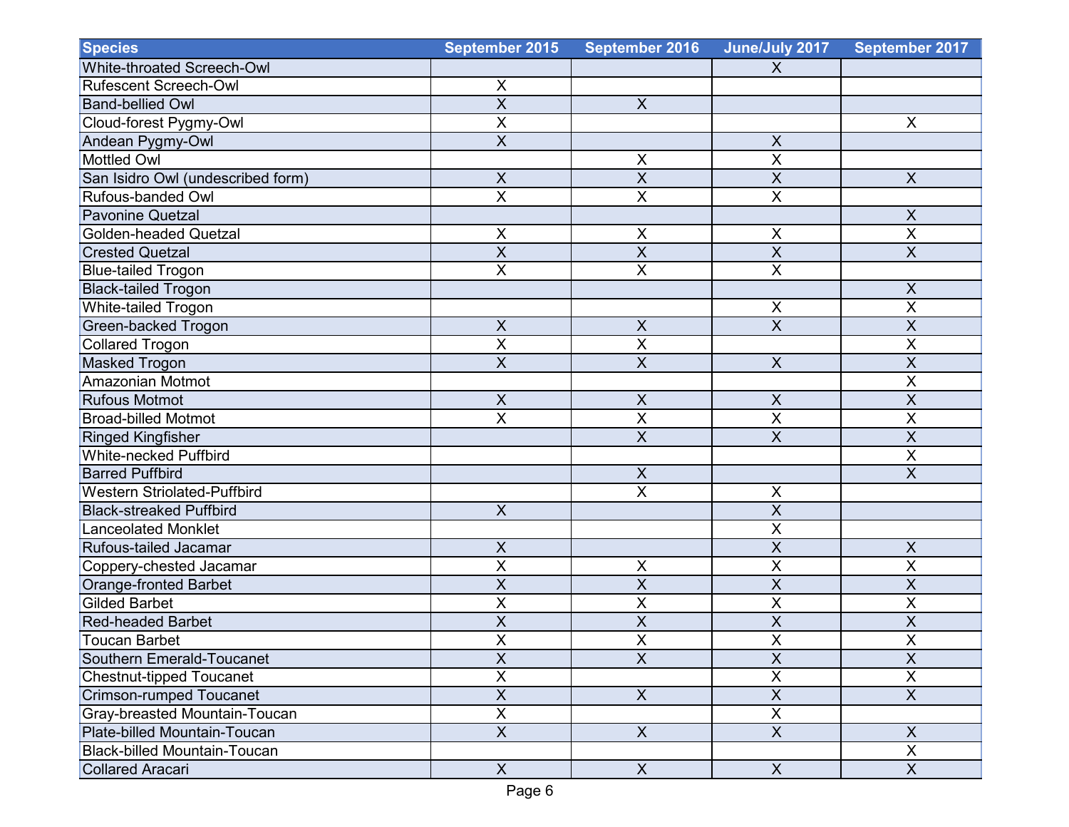| <b>Species</b>                       | September 2015            | <b>September 2016</b>     | June/July 2017            | September 2017            |
|--------------------------------------|---------------------------|---------------------------|---------------------------|---------------------------|
| White-throated Screech-Owl           |                           |                           | X                         |                           |
| Rufescent Screech-Owl                | $\pmb{\times}$            |                           |                           |                           |
| <b>Band-bellied Owl</b>              | $\overline{X}$            | $\boldsymbol{\mathsf{X}}$ |                           |                           |
| Cloud-forest Pygmy-Owl               | $\overline{X}$            |                           |                           | X                         |
| Andean Pygmy-Owl                     | $\overline{X}$            |                           | $\mathsf X$               |                           |
| <b>Mottled Owl</b>                   |                           | $\mathsf X$               | $\overline{\mathsf{x}}$   |                           |
| San Isidro Owl (undescribed form)    | $\boldsymbol{\mathsf{X}}$ | X                         | $\sf X$                   | $\boldsymbol{X}$          |
| Rufous-banded Owl                    | $\sf X$                   | Χ                         | X                         |                           |
| <b>Pavonine Quetzal</b>              |                           |                           |                           | $\pmb{\times}$            |
| <b>Golden-headed Quetzal</b>         | $\pmb{\times}$            | $\pmb{\mathsf{X}}$        | X                         | $\overline{\mathsf{X}}$   |
| <b>Crested Quetzal</b>               | $\overline{X}$            | X                         | $\overline{\mathsf{X}}$   | $\overline{X}$            |
| <b>Blue-tailed Trogon</b>            | $\overline{X}$            | X                         | $\overline{X}$            |                           |
| <b>Black-tailed Trogon</b>           |                           |                           |                           | $\mathsf X$               |
| White-tailed Trogon                  |                           |                           | X                         | $\mathsf X$               |
| <b>Green-backed Trogon</b>           | $\overline{\mathsf{x}}$   | $\sf X$                   | $\overline{\mathsf{x}}$   | $\overline{X}$            |
| <b>Collared Trogon</b>               | $\overline{X}$            | X                         |                           | $\overline{X}$            |
| <b>Masked Trogon</b>                 | $\overline{X}$            | $\overline{X}$            | $\pmb{\times}$            | $\overline{X}$            |
| Amazonian Motmot                     |                           |                           |                           | $\overline{\mathsf{X}}$   |
| <b>Rufous Motmot</b>                 | $\overline{X}$            | $\overline{X}$            | $\overline{X}$            | $\overline{\mathsf{X}}$   |
| <b>Broad-billed Motmot</b>           | $\overline{X}$            | $\overline{X}$            | $\overline{\mathsf{x}}$   | $\mathsf X$               |
| <b>Ringed Kingfisher</b>             |                           | X                         | $\boldsymbol{\mathsf{X}}$ | $\sf X$                   |
| White-necked Puffbird                |                           |                           |                           | $\overline{\mathsf{X}}$   |
| <b>Barred Puffbird</b>               |                           | $\boldsymbol{\mathsf{X}}$ |                           | $\sf X$                   |
| <b>Western Striolated-Puffbird</b>   |                           | X                         | X                         |                           |
| <b>Black-streaked Puffbird</b>       | $\mathsf{X}$              |                           | $\overline{\mathsf{X}}$   |                           |
| <b>Lanceolated Monklet</b>           |                           |                           | $\overline{\mathsf{x}}$   |                           |
| Rufous-tailed Jacamar                | $\times$                  |                           | $\overline{X}$            | $\boldsymbol{\mathsf{X}}$ |
| Coppery-chested Jacamar              | $\sf X$                   | Χ                         | X                         | $\sf X$                   |
| <b>Orange-fronted Barbet</b>         | $\overline{X}$            | X                         | $\sf X$                   | X                         |
| <b>Gilded Barbet</b>                 | $\mathsf X$               | X                         | $\overline{X}$            | $\pmb{\times}$            |
| <b>Red-headed Barbet</b>             | X                         | $\overline{\mathsf{X}}$   | $\overline{X}$            | X                         |
| Toucan Barbet                        | $\sf X$                   | $\mathsf X$               | $\pmb{\mathsf{X}}$        | $\mathsf X$               |
| Southern Emerald-Toucanet            | $\overline{X}$            | $\overline{X}$            | $\overline{X}$            | $\overline{X}$            |
| <b>Chestnut-tipped Toucanet</b>      | $\overline{X}$            |                           | $\overline{\mathsf{X}}$   | $\overline{\mathsf{x}}$   |
| <b>Crimson-rumped Toucanet</b>       | $\overline{X}$            | $\boldsymbol{X}$          | $\overline{X}$            | $\overline{X}$            |
| <b>Gray-breasted Mountain-Toucan</b> | $\overline{X}$            |                           | $\overline{X}$            |                           |
| Plate-billed Mountain-Toucan         | $\overline{X}$            | $\overline{X}$            | $\overline{X}$            | $\mathsf{X}$              |
| <b>Black-billed Mountain-Toucan</b>  |                           |                           |                           | $\overline{X}$            |
| <b>Collared Aracari</b>              | X                         | $\boldsymbol{\mathsf{X}}$ | $\mathsf{X}$              | X                         |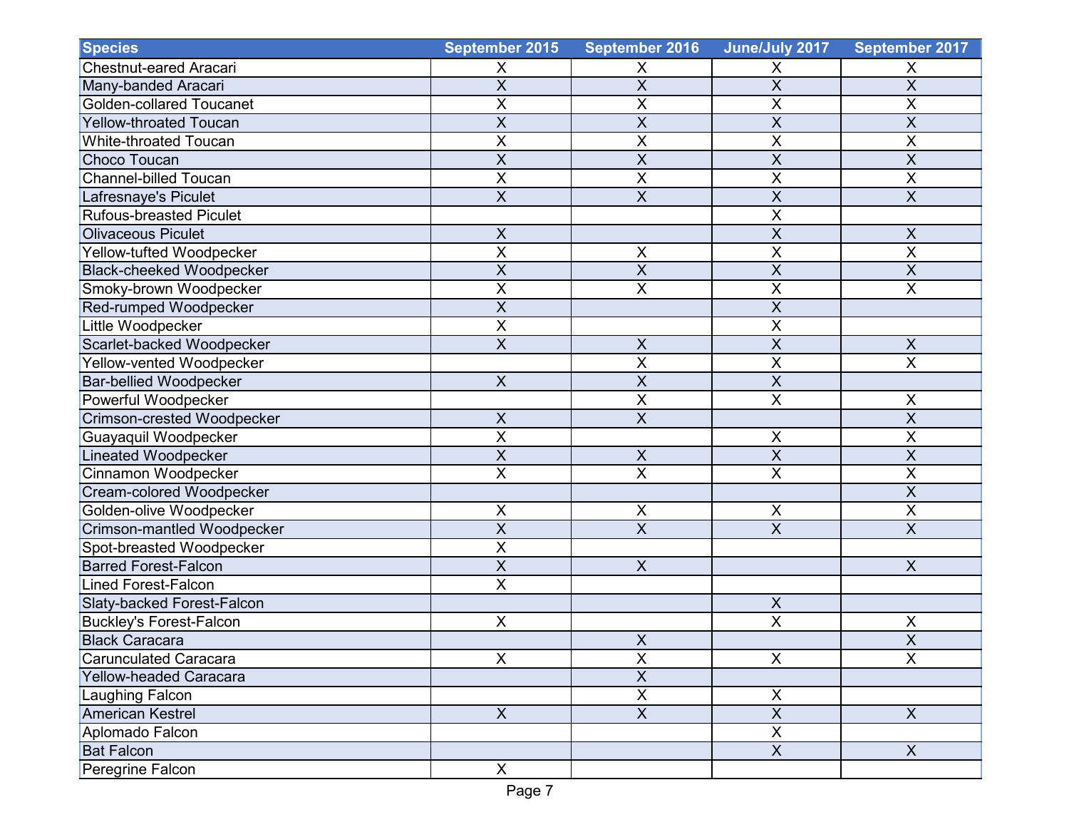| <b>Species</b>                    | September 2015            | <b>September 2016</b>     | June/July 2017            | September 2017            |
|-----------------------------------|---------------------------|---------------------------|---------------------------|---------------------------|
| <b>Chestnut-eared Aracari</b>     | X                         | X                         | X                         | X                         |
| Many-banded Aracari               | $\overline{\mathsf{x}}$   | $\overline{X}$            | $\overline{X}$            | $\overline{X}$            |
| <b>Golden-collared Toucanet</b>   | $\mathsf X$               | X                         | $\mathsf X$               | $\pmb{\times}$            |
| <b>Yellow-throated Toucan</b>     | $\overline{X}$            | $\overline{\mathsf{X}}$   | $\overline{X}$            | $\overline{X}$            |
| <b>White-throated Toucan</b>      | $\overline{X}$            | X                         | $\mathsf X$               | $\mathsf{X}$              |
| <b>Choco Toucan</b>               | $\boldsymbol{\mathsf{X}}$ | $\overline{\mathsf{X}}$   | $\overline{X}$            | $\boldsymbol{\mathsf{X}}$ |
| <b>Channel-billed Toucan</b>      | $\overline{X}$            | X                         | $\overline{\mathsf{X}}$   | $\overline{X}$            |
| Lafresnaye's Piculet              | $\overline{X}$            | $\overline{\mathsf{X}}$   | $\overline{X}$            | $\overline{X}$            |
| <b>Rufous-breasted Piculet</b>    |                           |                           | $\overline{X}$            |                           |
| <b>Olivaceous Piculet</b>         | $\pmb{\times}$            |                           | $\overline{X}$            | $\pmb{\times}$            |
| Yellow-tufted Woodpecker          | $\overline{X}$            | $\sf X$                   | $\overline{\mathsf{X}}$   | $\overline{\mathsf{x}}$   |
| <b>Black-cheeked Woodpecker</b>   | $\overline{X}$            | $\overline{\mathsf{x}}$   | $\overline{X}$            | $\overline{\mathsf{x}}$   |
| Smoky-brown Woodpecker            | $\sf X$                   | X                         | $\sf X$                   | $\pmb{\times}$            |
| Red-rumped Woodpecker             | $\overline{X}$            |                           | $\overline{X}$            |                           |
| Little Woodpecker                 | $\overline{\mathsf{X}}$   |                           | $\overline{\mathsf{x}}$   |                           |
| Scarlet-backed Woodpecker         | $\overline{X}$            | $\mathsf{X}$              | $\overline{X}$            | $\mathsf{X}$              |
| Yellow-vented Woodpecker          |                           | X                         | $\overline{X}$            | $\overline{X}$            |
| <b>Bar-bellied Woodpecker</b>     | $\mathsf{X}$              | X                         | $\overline{X}$            |                           |
| Powerful Woodpecker               |                           | X                         | $\overline{X}$            | $\pmb{\times}$            |
| Crimson-crested Woodpecker        | $\boldsymbol{\mathsf{X}}$ | $\overline{\mathsf{X}}$   |                           | $\overline{X}$            |
| Guayaquil Woodpecker              | $\pmb{\times}$            |                           | X                         | $\pmb{\times}$            |
| <b>Lineated Woodpecker</b>        | $\sf X$                   | X                         | $\sf X$                   | $\boldsymbol{\mathsf{X}}$ |
| Cinnamon Woodpecker               | $\overline{X}$            | $\overline{\mathsf{x}}$   | $\overline{X}$            | $\overline{\mathsf{X}}$   |
| Cream-colored Woodpecker          |                           |                           |                           | $\overline{X}$            |
| Golden-olive Woodpecker           | $\mathsf X$               | $\mathsf X$               | $\pmb{\times}$            | $\pmb{\times}$            |
| <b>Crimson-mantled Woodpecker</b> | $\overline{\mathsf{X}}$   | X                         | $\overline{\mathsf{x}}$   | $\overline{X}$            |
| Spot-breasted Woodpecker          | $\pmb{\mathsf{X}}$        |                           |                           |                           |
| <b>Barred Forest-Falcon</b>       | $\overline{X}$            | $\boldsymbol{\mathsf{X}}$ |                           | $\mathsf{X}$              |
| <b>Lined Forest-Falcon</b>        | $\overline{X}$            |                           |                           |                           |
| Slaty-backed Forest-Falcon        |                           |                           | $\boldsymbol{\mathsf{X}}$ |                           |
| <b>Buckley's Forest-Falcon</b>    | $\pmb{\times}$            |                           | $\overline{\mathsf{x}}$   | $\mathsf X$               |
| <b>Black Caracara</b>             |                           | $\overline{X}$            |                           | $\overline{\mathsf{X}}$   |
| <b>Carunculated Caracara</b>      | $\overline{X}$            | $\overline{X}$            | $\overline{X}$            | $\overline{X}$            |
| Yellow-headed Caracara            |                           | $\overline{X}$            |                           |                           |
| <b>Laughing Falcon</b>            |                           | $\sf X$                   | X                         |                           |
| <b>American Kestrel</b>           | $\overline{X}$            | $\overline{X}$            | $\overline{\mathsf{x}}$   | $\overline{X}$            |
| Aplomado Falcon                   |                           |                           | $\boldsymbol{\mathsf{X}}$ |                           |
| <b>Bat Falcon</b>                 |                           |                           | $\mathsf X$               | X                         |
| Peregrine Falcon                  | X                         |                           |                           |                           |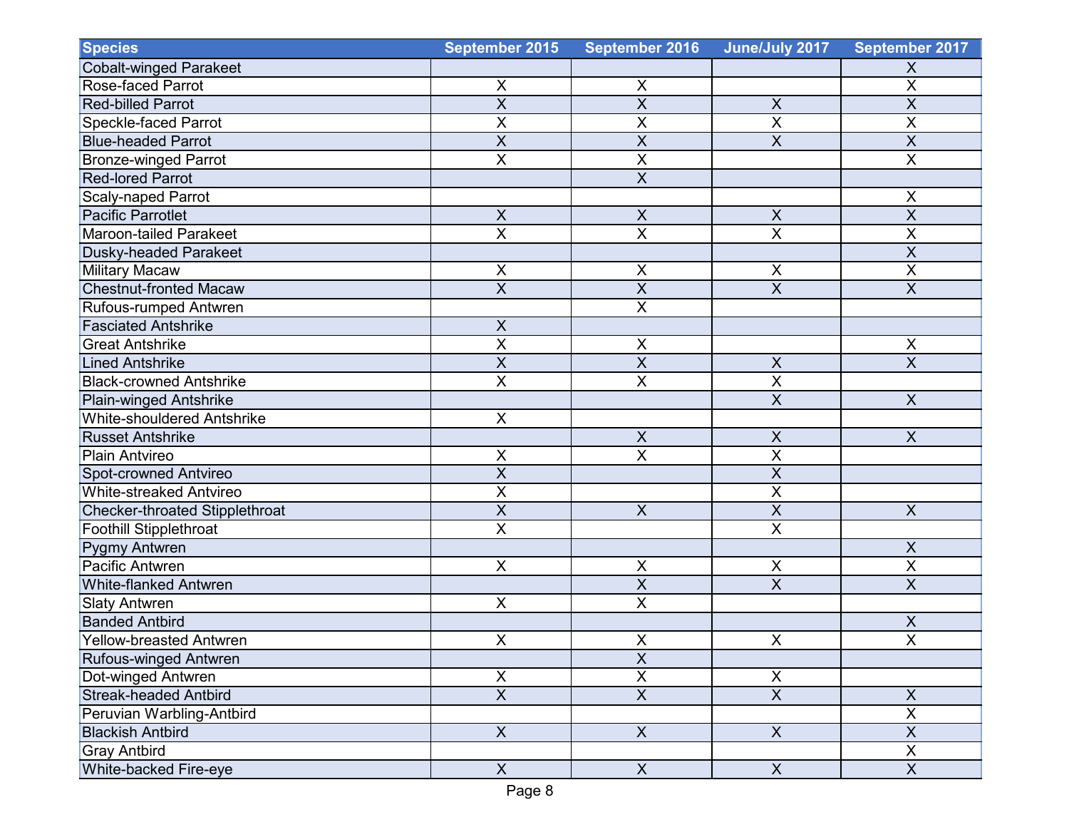| <b>Species</b>                        | <b>September 2015</b>   | <b>September 2016</b>     | June/July 2017          | September 2017            |
|---------------------------------------|-------------------------|---------------------------|-------------------------|---------------------------|
| Cobalt-winged Parakeet                |                         |                           |                         | X                         |
| Rose-faced Parrot                     | $\pmb{\times}$          | X                         |                         | $\overline{\mathsf{X}}$   |
| <b>Red-billed Parrot</b>              | $\overline{X}$          | $\overline{\mathsf{x}}$   | $\pmb{\times}$          | $\overline{X}$            |
| Speckle-faced Parrot                  | $\overline{X}$          | X                         | $\overline{\mathsf{X}}$ | $\overline{X}$            |
| <b>Blue-headed Parrot</b>             | $\overline{X}$          | $\overline{\mathsf{x}}$   | $\overline{X}$          | $\overline{X}$            |
| <b>Bronze-winged Parrot</b>           | $\overline{X}$          | $\overline{\mathsf{x}}$   |                         | $\overline{\mathsf{X}}$   |
| <b>Red-lored Parrot</b>               |                         | $\overline{X}$            |                         |                           |
| Scaly-naped Parrot                    |                         |                           |                         | $\mathsf X$               |
| <b>Pacific Parrotlet</b>              | $\mathsf X$             | $\sf X$                   | $\pmb{\times}$          | $\overline{\mathsf{X}}$   |
| <b>Maroon-tailed Parakeet</b>         | $\overline{\mathsf{x}}$ | $\overline{\mathsf{x}}$   | $\overline{\mathsf{x}}$ | $\overline{\mathsf{X}}$   |
| <b>Dusky-headed Parakeet</b>          |                         |                           |                         | $\overline{X}$            |
| <b>Military Macaw</b>                 | $\pmb{\times}$          | $\pmb{\mathsf{X}}$        | $\sf X$                 | $\overline{\mathsf{X}}$   |
| <b>Chestnut-fronted Macaw</b>         | $\overline{X}$          | $\overline{\mathsf{X}}$   | $\overline{\mathsf{X}}$ | $\overline{\mathsf{X}}$   |
| Rufous-rumped Antwren                 |                         | $\overline{\mathsf{x}}$   |                         |                           |
| <b>Fasciated Antshrike</b>            | $\times$                |                           |                         |                           |
| <b>Great Antshrike</b>                | $\overline{\mathsf{X}}$ | X                         |                         | X                         |
| <b>Lined Antshrike</b>                | $\overline{X}$          | $\overline{\mathsf{x}}$   | $\mathsf X$             | $\overline{X}$            |
| <b>Black-crowned Antshrike</b>        | $\overline{\mathsf{x}}$ | $\overline{\mathsf{x}}$   | $\overline{\mathsf{x}}$ |                           |
| Plain-winged Antshrike                |                         |                           | $\overline{\mathsf{x}}$ | $\mathsf{X}$              |
| <b>White-shouldered Antshrike</b>     | $\pmb{\times}$          |                           |                         |                           |
| <b>Russet Antshrike</b>               |                         | $\sf X$                   | X                       | $\boldsymbol{X}$          |
| <b>Plain Antvireo</b>                 | $\times$                | $\overline{\mathsf{x}}$   | $\overline{X}$          |                           |
| Spot-crowned Antvireo                 | $\overline{X}$          |                           | $\overline{X}$          |                           |
| <b>White-streaked Antvireo</b>        | $\sf X$                 |                           | $\pmb{\mathsf{X}}$      |                           |
| <b>Checker-throated Stipplethroat</b> | $\overline{X}$          | $\boldsymbol{\mathsf{X}}$ | $\overline{\mathsf{x}}$ | $\mathsf{X}$              |
| <b>Foothill Stipplethroat</b>         | $\overline{\mathsf{X}}$ |                           | $\overline{\mathsf{x}}$ |                           |
| <b>Pygmy Antwren</b>                  |                         |                           |                         | $\boldsymbol{\mathsf{X}}$ |
| Pacific Antwren                       | $\pmb{\times}$          | $\pmb{\mathsf{X}}$        | X                       | $\sf X$                   |
| <b>White-flanked Antwren</b>          |                         | $\overline{\mathsf{X}}$   | $\overline{X}$          | $\overline{X}$            |
| <b>Slaty Antwren</b>                  | X                       | $\overline{X}$            |                         |                           |
| <b>Banded Antbird</b>                 |                         |                           |                         | $\mathsf X$               |
| <b>Yellow-breasted Antwren</b>        | X                       | X                         | $\pmb{\times}$          | $\overline{X}$            |
| Rufous-winged Antwren                 |                         | $\overline{X}$            |                         |                           |
| Dot-winged Antwren                    | $\overline{X}$          | $\overline{X}$            | $\pmb{\mathsf{X}}$      |                           |
| <b>Streak-headed Antbird</b>          | $\overline{X}$          | $\overline{X}$            | $\overline{X}$          | $\boldsymbol{\mathsf{X}}$ |
| Peruvian Warbling-Antbird             |                         |                           |                         | $\overline{X}$            |
| <b>Blackish Antbird</b>               | $\overline{X}$          | $\overline{X}$            | $\overline{X}$          | $\overline{X}$            |
| <b>Gray Antbird</b>                   |                         |                           |                         | $\overline{X}$            |
| White-backed Fire-eye                 | X                       | $\boldsymbol{\mathsf{X}}$ | $\mathsf{X}$            | $\overline{X}$            |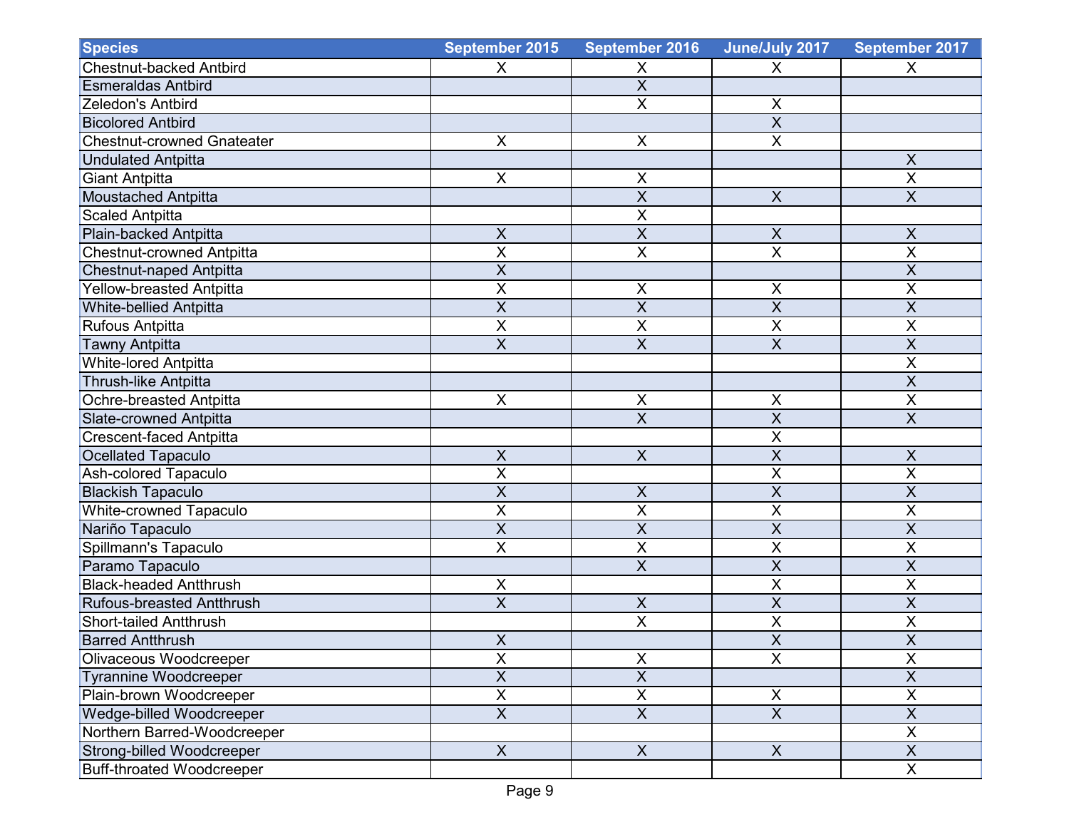| <b>Species</b>                    | September 2015            | September 2016            | June/July 2017            | September 2017            |
|-----------------------------------|---------------------------|---------------------------|---------------------------|---------------------------|
| <b>Chestnut-backed Antbird</b>    | $\boldsymbol{\mathsf{X}}$ | Χ                         | X                         | X                         |
| <b>Esmeraldas Antbird</b>         |                           | $\overline{\mathsf{X}}$   |                           |                           |
| Zeledon's Antbird                 |                           | X                         | X                         |                           |
| <b>Bicolored Antbird</b>          |                           |                           | $\overline{X}$            |                           |
| <b>Chestnut-crowned Gnateater</b> | $\boldsymbol{\mathsf{X}}$ | $\pmb{\times}$            | $\overline{\mathsf{x}}$   |                           |
| <b>Undulated Antpitta</b>         |                           |                           |                           | $\boldsymbol{\mathsf{X}}$ |
| <b>Giant Antpitta</b>             | $\boldsymbol{\mathsf{X}}$ | X                         |                           | $\pmb{\times}$            |
| <b>Moustached Antpitta</b>        |                           | X                         | $\boldsymbol{\mathsf{X}}$ | $\overline{X}$            |
| <b>Scaled Antpitta</b>            |                           | $\overline{\mathsf{x}}$   |                           |                           |
| Plain-backed Antpitta             | $\boldsymbol{\mathsf{X}}$ | $\overline{\mathsf{x}}$   | $\boldsymbol{\mathsf{X}}$ | $\mathsf X$               |
| <b>Chestnut-crowned Antpitta</b>  | $\overline{X}$            | X                         | $\overline{X}$            | $\overline{X}$            |
| <b>Chestnut-naped Antpitta</b>    | $\overline{X}$            |                           |                           | $\overline{X}$            |
| <b>Yellow-breasted Antpitta</b>   | $\sf X$                   | $\pmb{\mathsf{X}}$        | $\pmb{\times}$            | $\sf X$                   |
| <b>White-bellied Antpitta</b>     | $\overline{X}$            | $\overline{\mathsf{x}}$   | $\overline{X}$            | $\overline{X}$            |
| <b>Rufous Antpitta</b>            | $\sf X$                   | X                         | $\sf X$                   | $\overline{X}$            |
| <b>Tawny Antpitta</b>             | $\overline{X}$            | X                         | $\overline{X}$            | $\overline{X}$            |
| <b>White-lored Antpitta</b>       |                           |                           |                           | $\overline{X}$            |
| <b>Thrush-like Antpitta</b>       |                           |                           |                           | $\overline{X}$            |
| Ochre-breasted Antpitta           | $\pmb{\times}$            | $\pmb{\mathsf{X}}$        | $\mathsf X$               | $\overline{X}$            |
| <b>Slate-crowned Antpitta</b>     |                           | $\overline{\mathsf{x}}$   | $\overline{X}$            | $\overline{X}$            |
| <b>Crescent-faced Antpitta</b>    |                           |                           | $\sf X$                   |                           |
| <b>Ocellated Tapaculo</b>         | $\overline{\mathsf{x}}$   | $\overline{X}$            | $\overline{\mathsf{x}}$   | $\overline{X}$            |
| Ash-colored Tapaculo              | $\sf X$                   |                           | $\sf X$                   | $\pmb{\times}$            |
| <b>Blackish Tapaculo</b>          | $\sf X$                   | $\pmb{\mathsf{X}}$        | $\overline{X}$            | $\sf X$                   |
| White-crowned Tapaculo            | $\overline{\mathsf{X}}$   | $\overline{\mathsf{x}}$   | $\overline{\mathsf{X}}$   | $\overline{\mathsf{X}}$   |
| Nariño Tapaculo                   | $\overline{X}$            | $\overline{\mathsf{x}}$   | $\overline{X}$            | $\overline{X}$            |
| Spillmann's Tapaculo              | $\pmb{\times}$            | $\pmb{\mathsf{X}}$        | $\sf X$                   | $\sf X$                   |
| Paramo Tapaculo                   |                           | X                         | $\overline{X}$            | $\sf X$                   |
| <b>Black-headed Antthrush</b>     | $\mathsf X$               |                           | X                         | $\overline{X}$            |
| <b>Rufous-breasted Antthrush</b>  | $\overline{X}$            | $\overline{X}$            | $\overline{\mathsf{X}}$   | $\overline{X}$            |
| <b>Short-tailed Antthrush</b>     |                           | X                         | $\overline{X}$            | $\overline{X}$            |
| <b>Barred Antthrush</b>           | $\mathsf X$               |                           | $\mathsf X$               | $\overline{X}$            |
| Olivaceous Woodcreeper            | $\overline{\mathsf{X}}$   | $\pmb{\mathsf{X}}$        | $\overline{\mathsf{x}}$   | $\overline{\mathsf{X}}$   |
| <b>Tyrannine Woodcreeper</b>      | $\overline{X}$            | $\overline{X}$            |                           | $\overline{X}$            |
| Plain-brown Woodcreeper           | $\pmb{\times}$            | $\mathsf X$               | X                         | $\pmb{\times}$            |
| Wedge-billed Woodcreeper          | $\overline{X}$            | $\overline{\mathsf{x}}$   | $\overline{X}$            | $\overline{\mathsf{x}}$   |
| Northern Barred-Woodcreeper       |                           |                           |                           | $\overline{X}$            |
| Strong-billed Woodcreeper         | X                         | $\boldsymbol{\mathsf{X}}$ | $\mathsf X$               | $\mathsf{X}$              |
| <b>Buff-throated Woodcreeper</b>  |                           |                           |                           | X                         |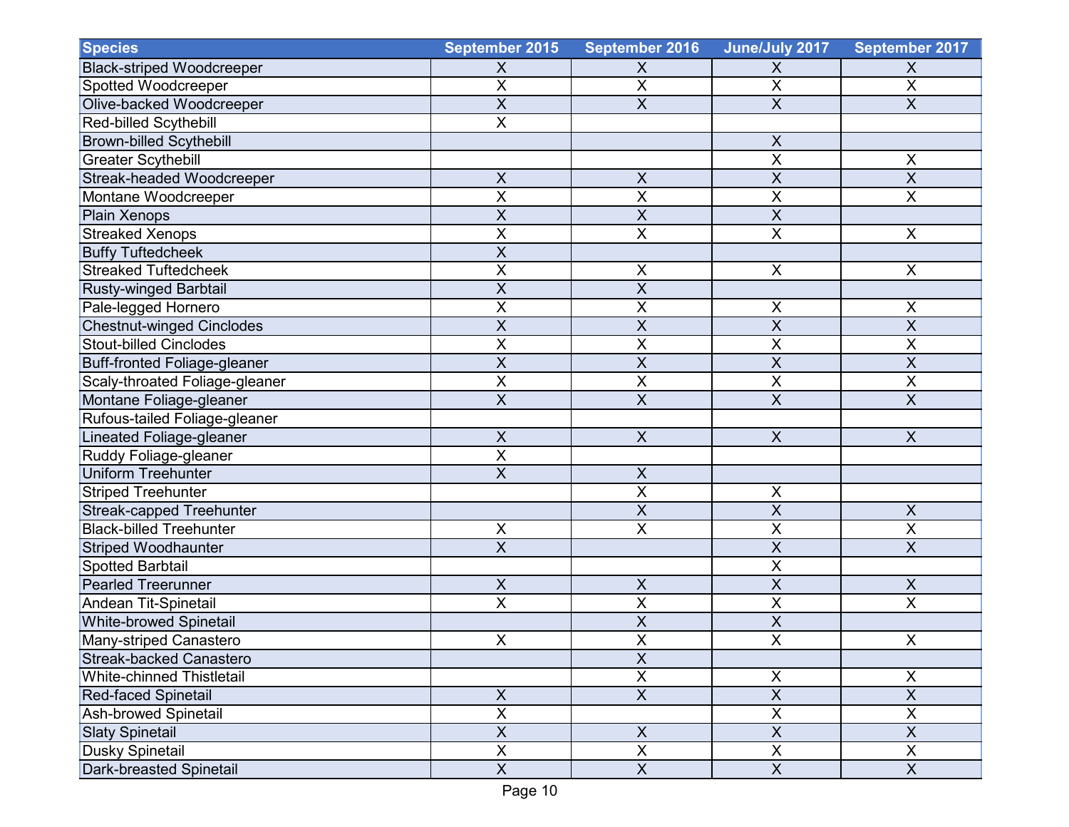| <b>Species</b>                      | September 2015            | <b>September 2016</b>   | June/July 2017          | September 2017            |
|-------------------------------------|---------------------------|-------------------------|-------------------------|---------------------------|
| <b>Black-striped Woodcreeper</b>    | $\pmb{\times}$            | $\pmb{\times}$          | X                       | X                         |
| Spotted Woodcreeper                 | $\overline{\mathsf{x}}$   | $\overline{\mathsf{X}}$ | $\overline{\mathsf{x}}$ | $\overline{\mathsf{x}}$   |
| Olive-backed Woodcreeper            | $\overline{X}$            | X                       | $\overline{X}$          | $\overline{X}$            |
| Red-billed Scythebill               | $\overline{\mathsf{X}}$   |                         |                         |                           |
| <b>Brown-billed Scythebill</b>      |                           |                         | $\mathsf X$             |                           |
| <b>Greater Scythebill</b>           |                           |                         | $\overline{\mathsf{x}}$ | $\pmb{\times}$            |
| Streak-headed Woodcreeper           | $\boldsymbol{\mathsf{X}}$ | $\pmb{\times}$          | $\sf X$                 | $\sf X$                   |
| Montane Woodcreeper                 | $\sf X$                   | Χ                       | X                       | $\mathsf X$               |
| <b>Plain Xenops</b>                 | $\overline{\mathsf{x}}$   | $\overline{X}$          | $\overline{\mathsf{x}}$ |                           |
| <b>Streaked Xenops</b>              | $\overline{\mathsf{X}}$   | $\overline{\mathsf{x}}$ | $\overline{\mathsf{x}}$ | $\pmb{\times}$            |
| <b>Buffy Tuftedcheek</b>            | $\overline{X}$            |                         |                         |                           |
| <b>Streaked Tuftedcheek</b>         | X                         | $\sf X$                 | $\times$                | X                         |
| <b>Rusty-winged Barbtail</b>        | $\overline{X}$            | $\overline{X}$          |                         |                           |
| Pale-legged Hornero                 | $\sf X$                   | X                       | X                       | X                         |
| <b>Chestnut-winged Cinclodes</b>    | $\overline{X}$            | X                       | $\overline{\mathsf{x}}$ | $\overline{X}$            |
| <b>Stout-billed Cinclodes</b>       | $\pmb{\mathsf{X}}$        | $\mathsf X$             | $\sf X$                 | $\sf X$                   |
| <b>Buff-fronted Foliage-gleaner</b> | $\overline{X}$            | $\overline{\mathsf{x}}$ | $\overline{\mathsf{x}}$ | $\overline{X}$            |
| Scaly-throated Foliage-gleaner      | $\overline{\mathsf{X}}$   | $\overline{\mathsf{X}}$ | $\overline{\mathsf{x}}$ | $\overline{\mathsf{X}}$   |
| Montane Foliage-gleaner             | $\overline{X}$            | $\overline{X}$          | $\overline{\mathsf{x}}$ | $\overline{X}$            |
| Rufous-tailed Foliage-gleaner       |                           |                         |                         |                           |
| Lineated Foliage-gleaner            | $\pmb{\mathsf{X}}$        | $\pmb{\mathsf{X}}$      | $\pmb{\times}$          | $\boldsymbol{X}$          |
| Ruddy Foliage-gleaner               | $\overline{\mathsf{x}}$   |                         |                         |                           |
| <b>Uniform Treehunter</b>           | $\sf X$                   | $\boldsymbol{X}$        |                         |                           |
| <b>Striped Treehunter</b>           |                           | X                       | X                       |                           |
| Streak-capped Treehunter            |                           | $\overline{\mathsf{x}}$ | $\overline{\mathsf{x}}$ | $\sf X$                   |
| <b>Black-billed Treehunter</b>      | $\overline{X}$            | $\overline{\mathsf{x}}$ | $\overline{\mathsf{x}}$ | $\overline{\mathsf{X}}$   |
| <b>Striped Woodhaunter</b>          | $\overline{X}$            |                         | $\overline{X}$          | $\sf X$                   |
| Spotted Barbtail                    |                           |                         | X                       |                           |
| <b>Pearled Treerunner</b>           | $\sf X$                   | $\sf X$                 | $\overline{\mathsf{X}}$ | $\boldsymbol{\mathsf{X}}$ |
| Andean Tit-Spinetail                | $\overline{X}$            | X                       | $\overline{\mathsf{X}}$ | $\overline{X}$            |
| <b>White-browed Spinetail</b>       |                           | X                       | $\overline{X}$          |                           |
| Many-striped Canastero              | X                         | $\pmb{\mathsf{X}}$      | $\sf X$                 | X                         |
| <b>Streak-backed Canastero</b>      |                           | $\overline{\mathsf{X}}$ |                         |                           |
| <b>White-chinned Thistletail</b>    |                           | $\overline{\mathsf{X}}$ | $\pmb{\times}$          | $\pmb{\times}$            |
| <b>Red-faced Spinetail</b>          | $\mathsf X$               | $\overline{X}$          | $\overline{\mathsf{X}}$ | $\overline{X}$            |
| Ash-browed Spinetail                | $\overline{X}$            |                         | $\overline{X}$          | $\overline{X}$            |
| <b>Slaty Spinetail</b>              | $\overline{X}$            | $\overline{X}$          | $\overline{X}$          | $\overline{X}$            |
| Dusky Spinetail                     | $\pmb{\times}$            | $\overline{X}$          | $\overline{X}$          | $\mathsf X$               |
| Dark-breasted Spinetail             | $\mathsf X$               | $\overline{X}$          | $\overline{X}$          | $\mathsf{X}$              |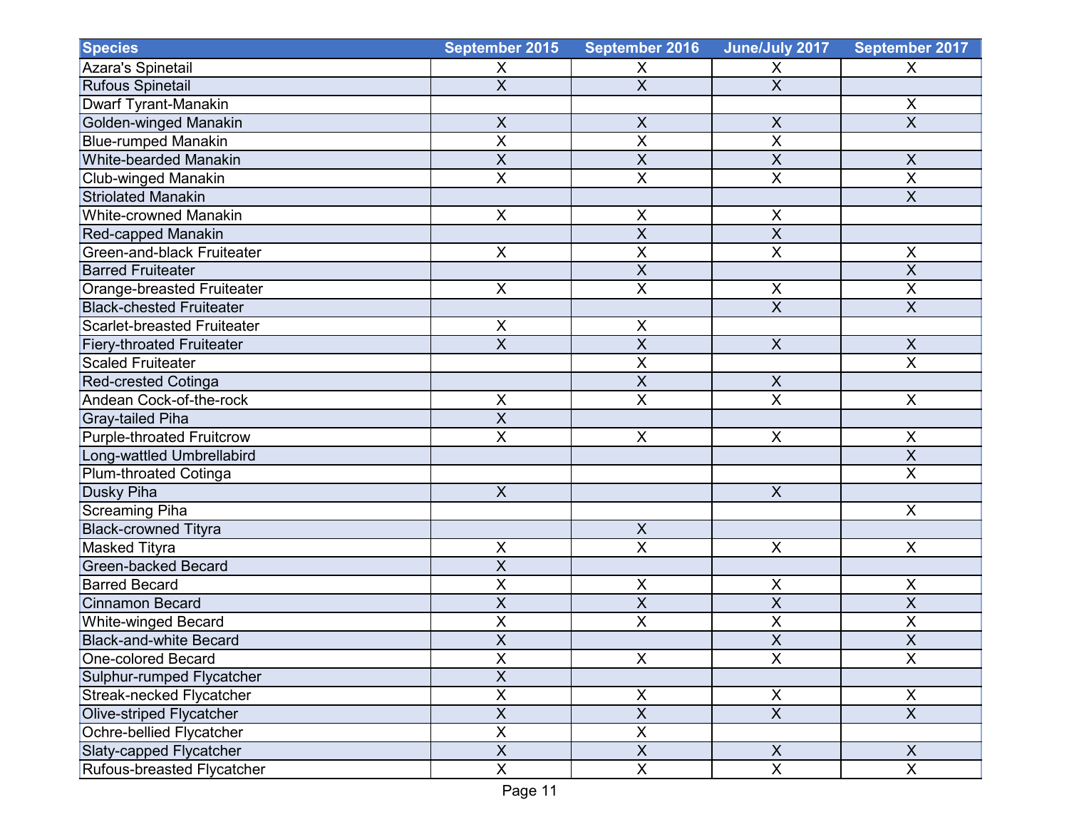| <b>Species</b>                     | September 2015            | <b>September 2016</b>     | June/July 2017            | September 2017            |
|------------------------------------|---------------------------|---------------------------|---------------------------|---------------------------|
| Azara's Spinetail                  | X                         | X                         | X                         | X                         |
| <b>Rufous Spinetail</b>            | $\overline{X}$            | $\overline{X}$            | $\overline{\mathsf{X}}$   |                           |
| Dwarf Tyrant-Manakin               |                           |                           |                           | X                         |
| Golden-winged Manakin              | $\overline{X}$            | $\overline{X}$            | $\overline{\mathsf{X}}$   | $\overline{\mathsf{x}}$   |
| <b>Blue-rumped Manakin</b>         | $\overline{X}$            | X                         | $\overline{X}$            |                           |
| White-bearded Manakin              | $\sf X$                   | $\overline{\mathsf{x}}$   | $\overline{X}$            | $\times$                  |
| Club-winged Manakin                | $\overline{X}$            | X                         | $\overline{X}$            | $\overline{\mathsf{X}}$   |
| <b>Striolated Manakin</b>          |                           |                           |                           | $\overline{X}$            |
| White-crowned Manakin              | $\boldsymbol{\mathsf{X}}$ | $\pmb{\times}$            | X                         |                           |
| Red-capped Manakin                 |                           | $\overline{\mathsf{x}}$   | $\overline{X}$            |                           |
| <b>Green-and-black Fruiteater</b>  | $\boldsymbol{\mathsf{X}}$ | $\overline{\mathsf{x}}$   | $\overline{X}$            | $\mathsf X$               |
| <b>Barred Fruiteater</b>           |                           | $\overline{\mathsf{x}}$   |                           | $\overline{\mathsf{x}}$   |
| Orange-breasted Fruiteater         | $\pmb{\times}$            | $\overline{X}$            | X                         | $\mathsf X$               |
| <b>Black-chested Fruiteater</b>    |                           |                           | $\overline{X}$            | $\overline{X}$            |
| <b>Scarlet-breasted Fruiteater</b> | $\sf X$                   | X                         |                           |                           |
| <b>Fiery-throated Fruiteater</b>   | $\overline{X}$            | $\overline{\mathsf{X}}$   | $\overline{X}$            | $\boldsymbol{\mathsf{X}}$ |
| <b>Scaled Fruiteater</b>           |                           | $\overline{\mathsf{x}}$   |                           | $\overline{\mathsf{x}}$   |
| <b>Red-crested Cotinga</b>         |                           | X                         | $\boldsymbol{X}$          |                           |
| Andean Cock-of-the-rock            | $\pmb{\times}$            | X                         | $\overline{X}$            | $\mathsf{X}$              |
| <b>Gray-tailed Piha</b>            | $\overline{X}$            |                           |                           |                           |
| Purple-throated Fruitcrow          | $\pmb{\times}$            | $\pmb{\times}$            | X                         | X                         |
| Long-wattled Umbrellabird          |                           |                           |                           | $\overline{X}$            |
| Plum-throated Cotinga              |                           |                           |                           | $\overline{\mathsf{X}}$   |
| <b>Dusky Piha</b>                  | $\overline{X}$            |                           | $\pmb{\times}$            |                           |
| <b>Screaming Piha</b>              |                           |                           |                           | X                         |
| <b>Black-crowned Tityra</b>        |                           | $\overline{X}$            |                           |                           |
| <b>Masked Tityra</b>               | $\pmb{\times}$            | $\overline{X}$            | X                         | $\pmb{\times}$            |
| <b>Green-backed Becard</b>         | $\overline{X}$            |                           |                           |                           |
| <b>Barred Becard</b>               | X                         | X                         | X                         | X                         |
| <b>Cinnamon Becard</b>             | $\overline{X}$            | $\overline{\mathsf{X}}$   | $\overline{X}$            | $\overline{X}$            |
| <b>White-winged Becard</b>         | $\overline{\mathsf{x}}$   | $\overline{\mathsf{x}}$   | $\overline{\mathsf{X}}$   | $\overline{\mathsf{X}}$   |
| <b>Black-and-white Becard</b>      | $\overline{X}$            |                           | $\overline{\mathsf{X}}$   | $\overline{\mathsf{X}}$   |
| One-colored Becard                 | $\overline{X}$            | $\overline{X}$            | $\overline{\mathsf{x}}$   | $\overline{\mathsf{x}}$   |
| Sulphur-rumped Flycatcher          | $\overline{X}$            |                           |                           |                           |
| Streak-necked Flycatcher           | $\mathsf X$               | $\boldsymbol{\mathsf{X}}$ | $\frac{X}{X}$             | X                         |
| Olive-striped Flycatcher           | $\overline{X}$            | $\overline{\mathsf{X}}$   |                           | $\overline{X}$            |
| Ochre-bellied Flycatcher           | $\overline{X}$            | $\mathsf X$               |                           |                           |
| Slaty-capped Flycatcher            | $\boldsymbol{\mathsf{X}}$ | $\overline{X}$            | $\boldsymbol{\mathsf{X}}$ | X                         |
| Rufous-breasted Flycatcher         | $\overline{X}$            | $\overline{\mathsf{X}}$   | $\overline{X}$            | $\overline{X}$            |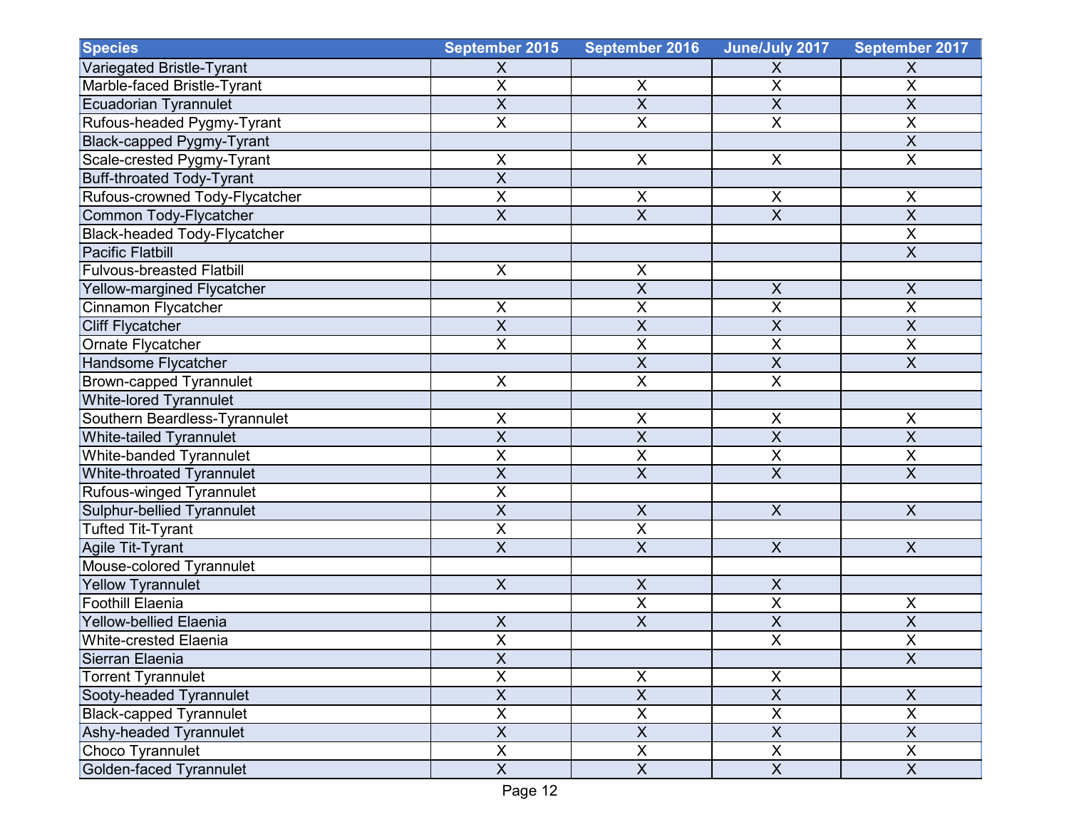| <b>Species</b>                      | September 2015                       | <b>September 2016</b>     | June/July 2017          | September 2017            |
|-------------------------------------|--------------------------------------|---------------------------|-------------------------|---------------------------|
| Variegated Bristle-Tyrant           | $\boldsymbol{\mathsf{X}}$            |                           | X                       | X                         |
| Marble-faced Bristle-Tyrant         | $\overline{X}$                       | X                         | $\overline{X}$          | $\mathsf X$               |
| <b>Ecuadorian Tyrannulet</b>        | $\overline{X}$                       | $\overline{X}$            | $\overline{X}$          | $\overline{X}$            |
| Rufous-headed Pygmy-Tyrant          | $\overline{X}$                       | X                         | $\overline{\mathsf{x}}$ | $\overline{X}$            |
| Black-capped Pygmy-Tyrant           |                                      |                           |                         | $\overline{X}$            |
| Scale-crested Pygmy-Tyrant          | X                                    | $\mathsf X$               | $\sf X$                 | $\mathsf X$               |
| <b>Buff-throated Tody-Tyrant</b>    | $\overline{X}$                       |                           |                         |                           |
| Rufous-crowned Tody-Flycatcher      | $\overline{X}$                       | $\mathsf X$               | $\sf X$                 | $\pmb{\times}$            |
| Common Tody-Flycatcher              | $\overline{\mathsf{X}}$              | $\overline{X}$            | $\overline{\mathsf{x}}$ | $\overline{X}$            |
| <b>Black-headed Tody-Flycatcher</b> |                                      |                           |                         | $\overline{X}$            |
| <b>Pacific Flatbill</b>             |                                      |                           |                         | $\overline{X}$            |
| <b>Fulvous-breasted Flatbill</b>    | $\mathsf{X}$                         | $\pmb{\times}$            |                         |                           |
| Yellow-margined Flycatcher          |                                      | X                         | $\pmb{\mathsf{X}}$      | $\boldsymbol{\mathsf{X}}$ |
| Cinnamon Flycatcher                 | X                                    | X                         | $\sf X$                 | $\overline{X}$            |
| <b>Cliff Flycatcher</b>             | $\overline{X}$                       | $\overline{\mathsf{X}}$   | $\overline{\mathsf{x}}$ | $\overline{\mathsf{X}}$   |
| Ornate Flycatcher                   | $\overline{\mathsf{X}}$              | $\overline{\mathsf{X}}$   | $\overline{\mathsf{x}}$ | $\overline{\mathsf{X}}$   |
| Handsome Flycatcher                 |                                      | $\overline{\mathsf{X}}$   | $\overline{X}$          | $\overline{X}$            |
| <b>Brown-capped Tyrannulet</b>      | $\boldsymbol{\mathsf{X}}$            | $\mathsf X$               | $\overline{X}$          |                           |
| White-lored Tyrannulet              |                                      |                           |                         |                           |
| Southern Beardless-Tyrannulet       | $\pmb{\times}$                       | $\pmb{\times}$            | $\sf X$                 | $\pmb{\times}$            |
| White-tailed Tyrannulet             | $\overline{X}$                       | $\boldsymbol{\mathsf{X}}$ | $\sf X$                 | $\sf X$                   |
| White-banded Tyrannulet             | $\pmb{\mathsf{X}}$                   | X                         | X                       | $\sf X$                   |
| White-throated Tyrannulet           | $\overline{\mathsf{X}}$              | $\overline{X}$            | $\overline{X}$          | $\overline{\mathsf{X}}$   |
| Rufous-winged Tyrannulet            | $\overline{\mathsf{x}}$              |                           |                         |                           |
| Sulphur-bellied Tyrannulet          | $\overline{\mathsf{x}}$              | $\mathsf X$               | $\overline{X}$          | $\overline{X}$            |
| <b>Tufted Tit-Tyrant</b>            | $\overline{X}$                       | $\overline{\mathsf{X}}$   |                         |                           |
| Agile Tit-Tyrant                    | $\overline{X}$                       | $\overline{X}$            | $\pmb{\times}$          | $\mathsf X$               |
| Mouse-colored Tyrannulet            |                                      |                           |                         |                           |
| <b>Yellow Tyrannulet</b>            | $\overline{X}$                       | $\overline{X}$            | $\sf X$                 |                           |
| <b>Foothill Elaenia</b>             |                                      | $\sf X$                   | $\overline{X}$          | X                         |
| <b>Yellow-bellied Elaenia</b>       | $\pmb{\mathsf{X}}$                   | $\overline{\mathsf{x}}$   | $\overline{\mathsf{x}}$ | $\overline{\mathsf{X}}$   |
| White-crested Elaenia               | $\overline{\mathbf{x}}$<br>$\lambda$ |                           | $\overline{\mathsf{x}}$ | $\overline{\mathsf{X}}$   |
| Sierran Elaenia                     | $\overline{X}$                       |                           |                         | $\overline{\mathsf{x}}$   |
| <b>Torrent Tyrannulet</b>           | $\overline{X}$                       | $\pmb{\times}$            | $\pmb{\times}$          |                           |
| Sooty-headed Tyrannulet             | $\boldsymbol{\mathsf{X}}$            | $\overline{X}$            | $\overline{X}$          | $\pmb{\times}$            |
| <b>Black-capped Tyrannulet</b>      | $\overline{X}$                       | $\overline{\mathsf{x}}$   | $\overline{\mathsf{x}}$ | $\overline{\mathsf{x}}$   |
| Ashy-headed Tyrannulet              | $\overline{\mathsf{X}}$              | $\overline{X}$            | $\overline{X}$          | $\overline{X}$            |
| Choco Tyrannulet                    | $\boldsymbol{\mathsf{X}}$            | $\overline{X}$            | $\overline{X}$          | X                         |
| Golden-faced Tyrannulet             | $\overline{X}$                       | $\overline{X}$            | $\overline{X}$          | $\overline{X}$            |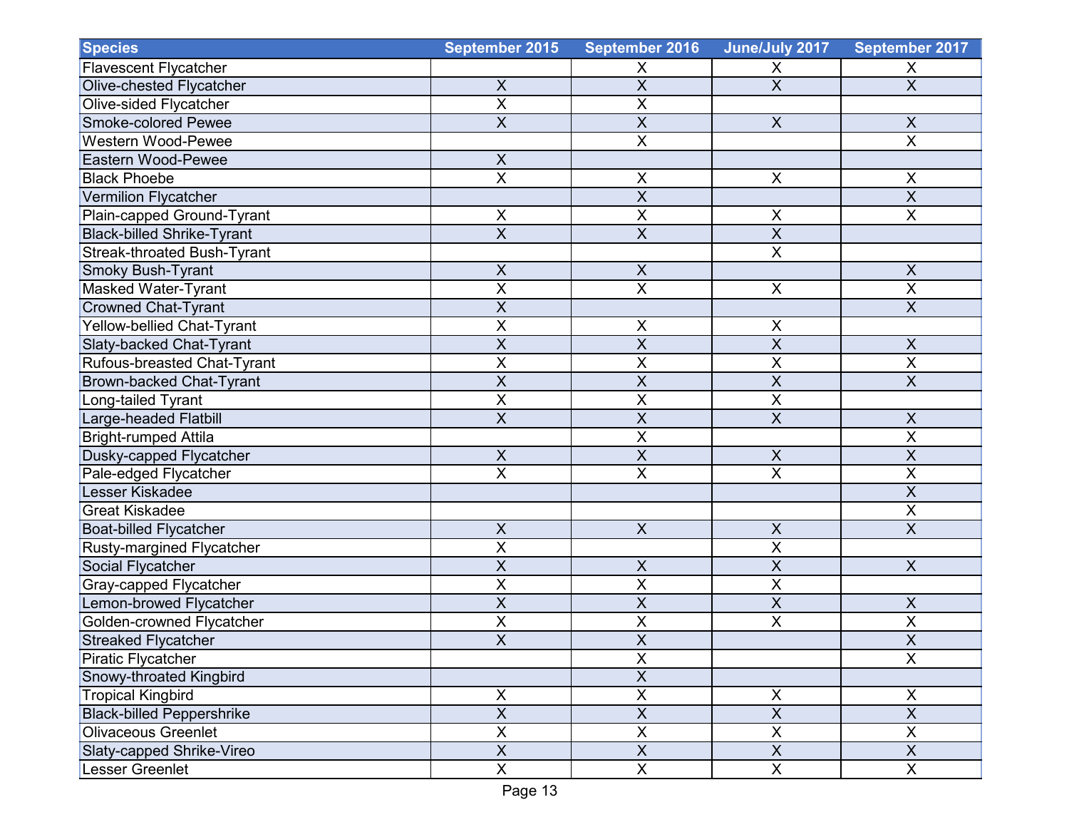| <b>Species</b>                    | September 2015            | September 2016            | June/July 2017            | September 2017            |
|-----------------------------------|---------------------------|---------------------------|---------------------------|---------------------------|
| <b>Flavescent Flycatcher</b>      |                           | X                         | X                         | X                         |
| Olive-chested Flycatcher          | $\boldsymbol{\mathsf{X}}$ | $\overline{X}$            | $\overline{\mathsf{x}}$   | $\overline{X}$            |
| Olive-sided Flycatcher            | $\overline{X}$            | X                         |                           |                           |
| Smoke-colored Pewee               | $\overline{\mathsf{x}}$   | $\overline{\mathsf{X}}$   | $\overline{X}$            | $\overline{X}$            |
| <b>Western Wood-Pewee</b>         |                           | $\overline{X}$            |                           | $\overline{X}$            |
| <b>Eastern Wood-Pewee</b>         | $\mathsf X$               |                           |                           |                           |
| <b>Black Phoebe</b>               | $\overline{X}$            | X                         | $\mathsf{X}$              | $\mathsf X$               |
| <b>Vermilion Flycatcher</b>       |                           | $\overline{\mathsf{X}}$   |                           | $\overline{X}$            |
| Plain-capped Ground-Tyrant        | $\pmb{\times}$            | $\overline{X}$            | X                         | $\overline{X}$            |
| <b>Black-billed Shrike-Tyrant</b> | $\overline{X}$            | $\overline{\mathsf{X}}$   | $\overline{X}$            |                           |
| Streak-throated Bush-Tyrant       |                           |                           | $\overline{X}$            |                           |
| <b>Smoky Bush-Tyrant</b>          | $\overline{X}$            | $\overline{X}$            |                           | $\overline{X}$            |
| Masked Water-Tyrant               | $\sf X$                   | $\overline{\mathsf{x}}$   | $\pmb{\times}$            | $\pmb{\times}$            |
| <b>Crowned Chat-Tyrant</b>        | $\overline{X}$            |                           |                           | $\overline{X}$            |
| Yellow-bellied Chat-Tyrant        | $\overline{\mathsf{x}}$   | X                         | $\mathsf X$               |                           |
| Slaty-backed Chat-Tyrant          | $\overline{X}$            | $\overline{\mathsf{x}}$   | $\overline{\mathsf{X}}$   | $\boldsymbol{\mathsf{X}}$ |
| Rufous-breasted Chat-Tyrant       | $\overline{X}$            | X                         | $\overline{X}$            | $\overline{\mathsf{X}}$   |
| <b>Brown-backed Chat-Tyrant</b>   | $\overline{X}$            | X                         | $\overline{X}$            | $\overline{X}$            |
| Long-tailed Tyrant                | $\overline{X}$            | X                         | $\overline{X}$            |                           |
| Large-headed Flatbill             | $\overline{X}$            | $\overline{\mathsf{X}}$   | $\overline{X}$            | $\mathsf X$               |
| <b>Bright-rumped Attila</b>       |                           | X                         |                           | $\pmb{\times}$            |
| Dusky-capped Flycatcher           | $\boldsymbol{\mathsf{X}}$ | X                         | $\boldsymbol{\mathsf{X}}$ | $\overline{X}$            |
| Pale-edged Flycatcher             | $\overline{X}$            | $\overline{\mathsf{x}}$   | $\overline{X}$            | $\overline{\mathsf{X}}$   |
| Lesser Kiskadee                   |                           |                           |                           | $\overline{X}$            |
| <b>Great Kiskadee</b>             |                           |                           |                           | $\overline{X}$            |
| <b>Boat-billed Flycatcher</b>     | $\overline{X}$            | $\overline{X}$            | $\overline{\mathsf{x}}$   | $\overline{X}$            |
| <b>Rusty-margined Flycatcher</b>  | $\pmb{\mathsf{X}}$        |                           | $\mathsf X$               |                           |
| Social Flycatcher                 | $\overline{X}$            | $\boldsymbol{\mathsf{X}}$ | $\overline{X}$            | $\mathsf{X}$              |
| Gray-capped Flycatcher            | $\overline{X}$            | X                         | $\overline{\mathsf{X}}$   |                           |
| Lemon-browed Flycatcher           | $\overline{X}$            | X                         | $\overline{X}$            | X                         |
| Golden-crowned Flycatcher         | $\overline{\mathsf{x}}$   | $\overline{\mathsf{x}}$   | $\overline{X}$            | $\overline{X}$            |
| <b>Streaked Flycatcher</b>        | $\overline{X}$            | $\overline{X}$            |                           | $\overline{\mathsf{X}}$   |
| <b>Piratic Flycatcher</b>         |                           | X                         |                           | $\overline{\mathsf{x}}$   |
| Snowy-throated Kingbird           |                           | $\overline{X}$            |                           |                           |
| <b>Tropical Kingbird</b>          | X                         | $\overline{X}$            | X                         | X                         |
| <b>Black-billed Peppershrike</b>  | $\overline{\mathsf{x}}$   | $\overline{\mathsf{x}}$   | $\overline{X}$            | $\overline{X}$            |
| <b>Olivaceous Greenlet</b>        | $\overline{X}$            | $\overline{X}$            | $\overline{X}$            | $\mathsf{X}$              |
| Slaty-capped Shrike-Vireo         | $\boldsymbol{\mathsf{X}}$ | $\overline{\mathsf{x}}$   | $\overline{X}$            | $\mathsf{X}$              |
| Lesser Greenlet                   | $\overline{X}$            | $\overline{\mathsf{X}}$   | $\overline{\mathsf{X}}$   | $\mathsf{X}$              |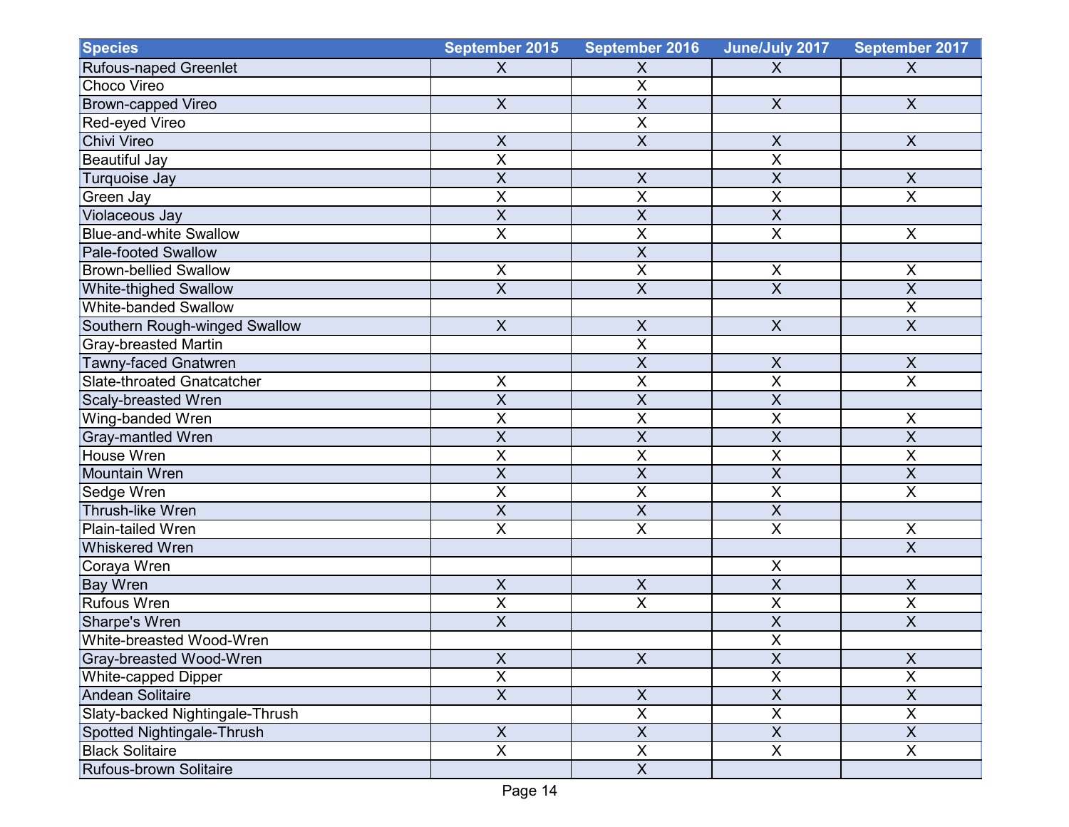| <b>Species</b>                  | September 2015            | <b>September 2016</b>   | June/July 2017            | September 2017          |
|---------------------------------|---------------------------|-------------------------|---------------------------|-------------------------|
| Rufous-naped Greenlet           | $\boldsymbol{X}$          | Χ                       | X                         | X                       |
| Choco Vireo                     |                           | $\overline{\mathsf{X}}$ |                           |                         |
| <b>Brown-capped Vireo</b>       | $\boldsymbol{X}$          | $\overline{\mathsf{x}}$ | $\boldsymbol{\mathsf{X}}$ | $\boldsymbol{X}$        |
| Red-eyed Vireo                  |                           | X                       |                           |                         |
| Chivi Vireo                     | $\overline{X}$            | $\overline{X}$          | $\boldsymbol{\mathsf{X}}$ | $\mathsf{X}$            |
| <b>Beautiful Jay</b>            | $\overline{X}$            |                         | $\overline{X}$            |                         |
| Turquoise Jay                   | $\overline{X}$            | $\sf X$                 | $\overline{X}$            | X                       |
| Green Jay                       | $\overline{X}$            | X                       | X                         | $\overline{X}$          |
| Violaceous Jay                  | $\overline{X}$            | $\overline{X}$          | $\overline{X}$            |                         |
| <b>Blue-and-white Swallow</b>   | $\overline{\mathsf{x}}$   | $\overline{\mathsf{x}}$ | $\overline{\mathsf{x}}$   | $\pmb{\times}$          |
| <b>Pale-footed Swallow</b>      |                           | X                       |                           |                         |
| <b>Brown-bellied Swallow</b>    | $\pmb{\times}$            | X                       | $\pmb{\times}$            | $\pmb{\times}$          |
| <b>White-thighed Swallow</b>    | $\overline{X}$            | $\overline{X}$          | $\overline{X}$            | $\overline{\mathsf{X}}$ |
| <b>White-banded Swallow</b>     |                           |                         |                           | $\mathsf X$             |
| Southern Rough-winged Swallow   | $\boldsymbol{\mathsf{X}}$ | X                       | $\boldsymbol{\mathsf{X}}$ | $\overline{X}$          |
| Gray-breasted Martin            |                           | X                       |                           |                         |
| <b>Tawny-faced Gnatwren</b>     |                           | $\overline{\mathsf{x}}$ | $\mathsf X$               | $\pmb{\mathsf{X}}$      |
| Slate-throated Gnatcatcher      | $\overline{X}$            | $\overline{\mathsf{x}}$ | $\overline{\mathsf{x}}$   | $\overline{\mathsf{x}}$ |
| Scaly-breasted Wren             | $\overline{X}$            | $\overline{\mathsf{x}}$ | $\overline{\mathsf{x}}$   |                         |
| Wing-banded Wren                | $\mathsf X$               | X                       | $\overline{X}$            | $\pmb{\times}$          |
| <b>Gray-mantled Wren</b>        | $\sf X$                   | $\overline{X}$          | $\sf X$                   | $\overline{X}$          |
| <b>House Wren</b>               | $\overline{X}$            | X                       | $\overline{X}$            | $\overline{X}$          |
| Mountain Wren                   | $\overline{X}$            | X                       | $\overline{X}$            | $\overline{X}$          |
| Sedge Wren                      | $\sf X$                   | $\overline{\mathsf{x}}$ | $\overline{X}$            | $\overline{X}$          |
| Thrush-like Wren                | $\overline{X}$            | $\overline{\mathsf{X}}$ | $\overline{\mathsf{x}}$   |                         |
| <b>Plain-tailed Wren</b>        | $\overline{\mathsf{X}}$   | $\overline{\mathsf{x}}$ | $\overline{\mathsf{x}}$   | $\overline{X}$          |
| <b>Whiskered Wren</b>           |                           |                         |                           | $\overline{X}$          |
| Coraya Wren                     |                           |                         | X                         |                         |
| <b>Bay Wren</b>                 | $\overline{X}$            | $\sf X$                 | $\overline{\mathsf{x}}$   | $\overline{X}$          |
| <b>Rufous Wren</b>              | $\overline{X}$            | $\overline{\mathsf{x}}$ | $\overline{X}$            | $\overline{X}$          |
| Sharpe's Wren                   | $\mathsf X$               |                         | $\overline{X}$            | X                       |
| White-breasted Wood-Wren        |                           |                         | $\pmb{\mathsf{X}}$        |                         |
| Gray-breasted Wood-Wren         | $\overline{X}$            | $\overline{X}$          | $\overline{X}$            | $\overline{X}$          |
| White-capped Dipper             | $\overline{X}$            |                         | $\overline{\mathsf{X}}$   | $\overline{\mathsf{X}}$ |
| <b>Andean Solitaire</b>         | $\overline{X}$            | $\pmb{\times}$          | $\overline{X}$            | $\mathsf X$             |
| Slaty-backed Nightingale-Thrush |                           | $\overline{\mathsf{X}}$ | $\overline{X}$            | $\mathsf{X}$            |
| Spotted Nightingale-Thrush      | $\overline{X}$            | $\overline{X}$          | $\overline{X}$            | $\overline{X}$          |
| <b>Black Solitaire</b>          | $\overline{X}$            | $\overline{\mathsf{X}}$ | $\overline{\mathsf{x}}$   | $\overline{\mathsf{x}}$ |
| Rufous-brown Solitaire          |                           | $\overline{X}$          |                           |                         |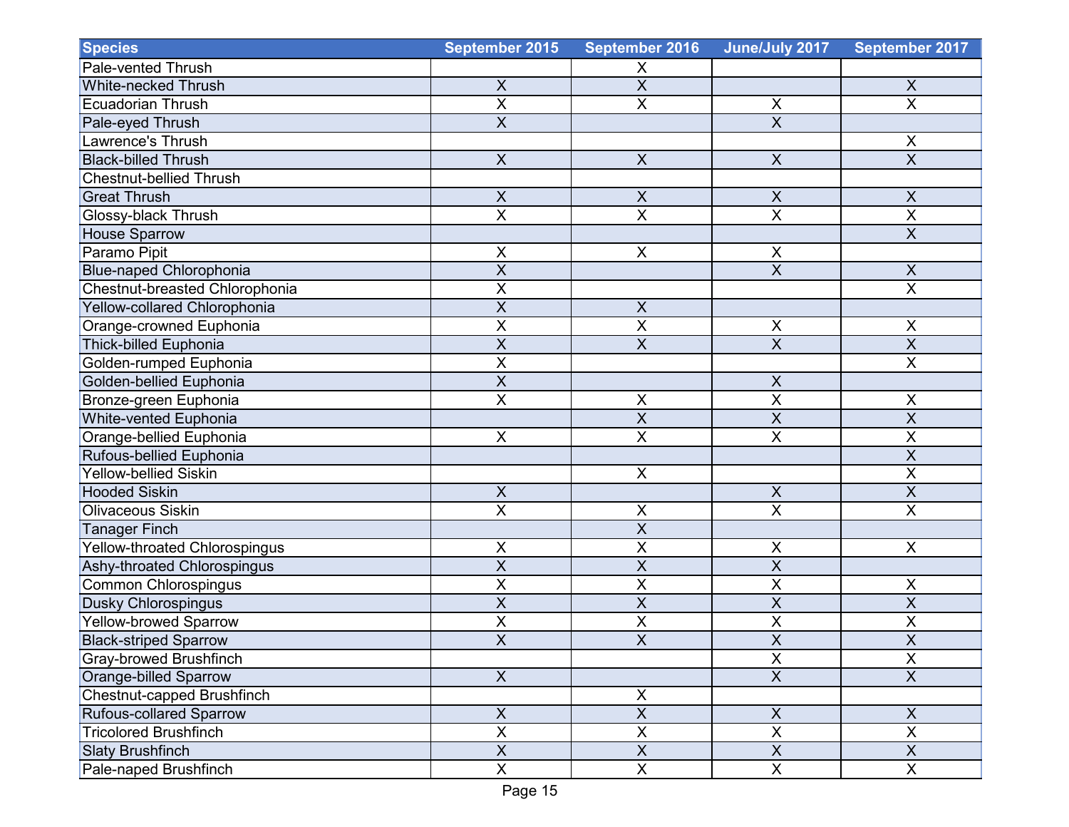| <b>Species</b>                 | September 2015            | <b>September 2016</b>   | June/July 2017            | September 2017          |
|--------------------------------|---------------------------|-------------------------|---------------------------|-------------------------|
| Pale-vented Thrush             |                           | X                       |                           |                         |
| <b>White-necked Thrush</b>     | $\pmb{\times}$            | $\overline{\mathsf{x}}$ |                           | $\pmb{\times}$          |
| <b>Ecuadorian Thrush</b>       | $\overline{\mathsf{X}}$   | $\overline{\mathsf{x}}$ | $\mathsf X$               | $\overline{\mathsf{X}}$ |
| Pale-eyed Thrush               | $\overline{\mathsf{x}}$   |                         | $\overline{\mathsf{x}}$   |                         |
| Lawrence's Thrush              |                           |                         |                           | X                       |
| <b>Black-billed Thrush</b>     | $\mathsf{X}$              | $\mathsf X$             | $\boldsymbol{\mathsf{X}}$ | $\overline{X}$          |
| <b>Chestnut-bellied Thrush</b> |                           |                         |                           |                         |
| <b>Great Thrush</b>            | $\overline{\mathsf{x}}$   | $\overline{X}$          | $\overline{\mathsf{x}}$   | $\overline{X}$          |
| Glossy-black Thrush            | $\overline{X}$            | $\mathsf X$             | $\pmb{\times}$            | $\overline{X}$          |
| <b>House Sparrow</b>           |                           |                         |                           | $\overline{X}$          |
| Paramo Pipit                   | $\pmb{\times}$            | $\mathsf X$             | $\pmb{\times}$            |                         |
| <b>Blue-naped Chlorophonia</b> | $\overline{X}$            |                         | $\overline{\mathsf{x}}$   | $\overline{X}$          |
| Chestnut-breasted Chlorophonia | $\sf X$                   |                         |                           | $\overline{X}$          |
| Yellow-collared Chlorophonia   | $\overline{X}$            | $\pmb{\mathsf{X}}$      |                           |                         |
| Orange-crowned Euphonia        | $\overline{X}$            | $\overline{X}$          | $\sf X$                   | $\sf X$                 |
| Thick-billed Euphonia          | $\overline{X}$            | $\overline{\mathsf{x}}$ | $\overline{X}$            | $\overline{X}$          |
| Golden-rumped Euphonia         | $\pmb{\times}$            |                         |                           | $\overline{X}$          |
| Golden-bellied Euphonia        | $\sf X$                   |                         | $\pmb{\times}$            |                         |
| Bronze-green Euphonia          | $\overline{X}$            | $\overline{\mathsf{X}}$ | $\overline{\mathsf{x}}$   | $\sf X$                 |
| White-vented Euphonia          |                           | $\overline{\mathsf{x}}$ | $\overline{\mathsf{x}}$   | $\overline{\mathsf{X}}$ |
| Orange-bellied Euphonia        | $\pmb{\times}$            | $\overline{\mathsf{x}}$ | $\overline{\mathsf{x}}$   | X                       |
| Rufous-bellied Euphonia        |                           |                         |                           | $\overline{X}$          |
| <b>Yellow-bellied Siskin</b>   |                           | $\pmb{\times}$          |                           | $\pmb{\times}$          |
| <b>Hooded Siskin</b>           | $\boldsymbol{\mathsf{X}}$ |                         | $\boldsymbol{\mathsf{X}}$ | $\overline{X}$          |
| Olivaceous Siskin              | $\overline{X}$            | X                       | $\overline{X}$            | $\overline{X}$          |
| <b>Tanager Finch</b>           |                           | X                       |                           |                         |
| Yellow-throated Chlorospingus  | $\pmb{\times}$            | $\overline{\mathsf{x}}$ | $\sf X$                   | $\pmb{\times}$          |
| Ashy-throated Chlorospingus    | $\overline{X}$            | $\overline{\mathsf{x}}$ | $\overline{\mathsf{x}}$   |                         |
| Common Chlorospingus           | X                         | X                       | $\overline{\mathsf{X}}$   | $\mathsf X$             |
| <b>Dusky Chlorospingus</b>     | X                         | X                       | $\overline{\mathsf{x}}$   | $\overline{\mathsf{X}}$ |
| Yellow-browed Sparrow          | X                         | X                       | $\overline{\mathsf{X}}$   | X                       |
| <b>Black-striped Sparrow</b>   | $\overline{X}$            | $\overline{\mathsf{X}}$ | $\overline{X}$            | $\overline{X}$          |
| Gray-browed Brushfinch         |                           |                         | $\pmb{\times}$            | $\overline{\mathsf{x}}$ |
| Orange-billed Sparrow          | $\mathsf X$               |                         | $\overline{X}$            | $\mathsf{X}$            |
| Chestnut-capped Brushfinch     |                           | $\pmb{\mathsf{X}}$      |                           |                         |
| Rufous-collared Sparrow        | $\mathsf{X}$              | $\overline{\mathsf{X}}$ | $\mathsf{X}$              | $\mathsf{X}$            |
| <b>Tricolored Brushfinch</b>   | $\overline{\mathsf{x}}$   | $\overline{\mathsf{X}}$ | $\overline{X}$            | $\overline{X}$          |
| <b>Slaty Brushfinch</b>        | $\overline{X}$            | $\overline{X}$          | $\overline{\mathsf{X}}$   | $\overline{X}$          |
| Pale-naped Brushfinch          | $\mathsf{X}$              | $\pmb{\times}$          | $\mathsf X$               | X                       |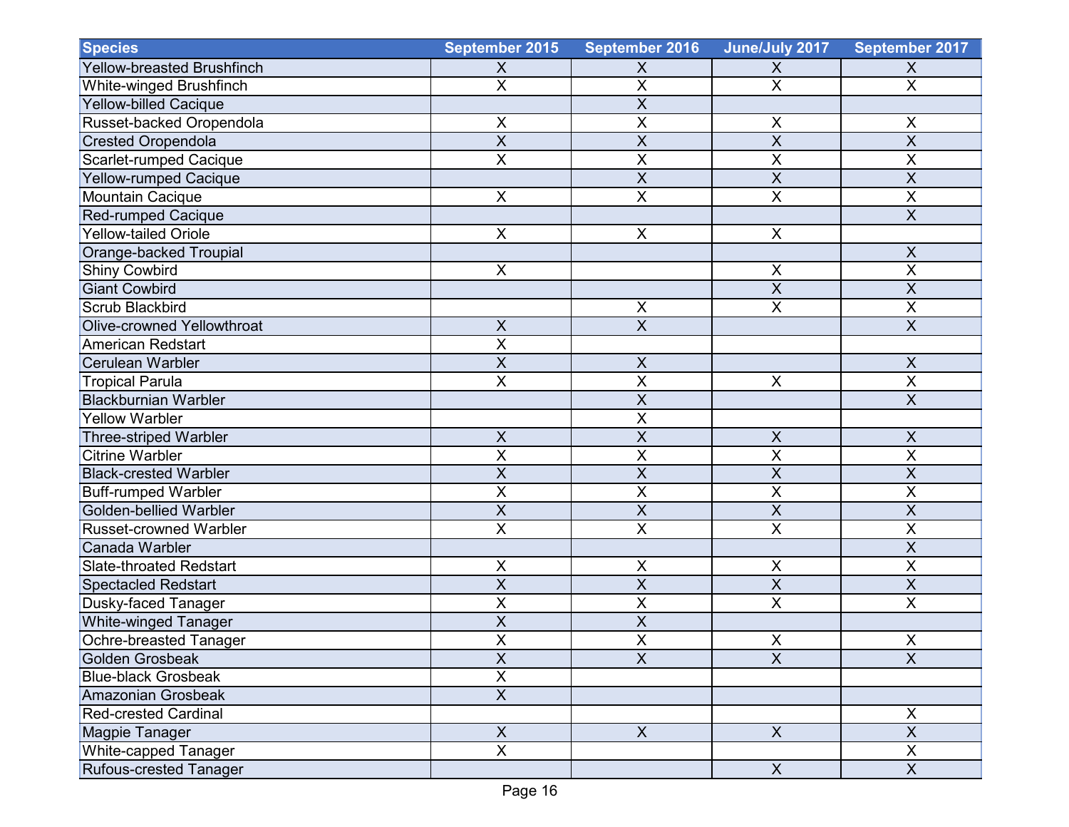| <b>Species</b>                    | September 2015            | <b>September 2016</b>   | June/July 2017            | September 2017            |
|-----------------------------------|---------------------------|-------------------------|---------------------------|---------------------------|
| <b>Yellow-breasted Brushfinch</b> | $\boldsymbol{\mathsf{X}}$ | X                       | X                         | X                         |
| White-winged Brushfinch           | $\overline{\mathsf{x}}$   | $\overline{\mathsf{x}}$ | $\overline{\mathsf{X}}$   | $\overline{\mathsf{X}}$   |
| <b>Yellow-billed Cacique</b>      |                           | X                       |                           |                           |
| Russet-backed Oropendola          | $\pmb{\times}$            | X                       | $\pmb{\times}$            | X                         |
| <b>Crested Oropendola</b>         | $\overline{X}$            | $\overline{X}$          | $\overline{\mathsf{x}}$   | $\overline{X}$            |
| Scarlet-rumped Cacique            | $\overline{\mathsf{x}}$   | $\overline{\mathsf{x}}$ | $\overline{\mathsf{x}}$   | X                         |
| <b>Yellow-rumped Cacique</b>      |                           | X                       | $\sf X$                   | $\sf X$                   |
| Mountain Cacique                  | $\times$                  | X                       | X                         | $\mathsf X$               |
| Red-rumped Cacique                |                           |                         |                           | $\overline{X}$            |
| <b>Yellow-tailed Oriole</b>       | $\pmb{\times}$            | $\pmb{\mathsf{X}}$      | X                         |                           |
| Orange-backed Troupial            |                           |                         |                           | $\sf X$                   |
| Shiny Cowbird                     | $\pmb{\times}$            |                         | $\times$                  | $\overline{\mathsf{x}}$   |
| <b>Giant Cowbird</b>              |                           |                         | $\overline{\mathsf{x}}$   | $\overline{X}$            |
| Scrub Blackbird                   |                           | $\pmb{\mathsf{X}}$      | $\times$                  | $\mathsf X$               |
| Olive-crowned Yellowthroat        | $\boldsymbol{\mathsf{X}}$ | $\overline{X}$          |                           | $\overline{\mathsf{X}}$   |
| <b>American Redstart</b>          | $\overline{X}$            |                         |                           |                           |
| <b>Cerulean Warbler</b>           | $\overline{X}$            | $\sf X$                 |                           | $\mathsf X$               |
| <b>Tropical Parula</b>            | $\overline{\mathsf{x}}$   | $\overline{\mathsf{x}}$ | $\boldsymbol{\mathsf{X}}$ | $\overline{\mathsf{X}}$   |
| <b>Blackburnian Warbler</b>       |                           | $\overline{\mathsf{x}}$ |                           | $\overline{X}$            |
| <b>Yellow Warbler</b>             |                           | $\overline{X}$          |                           |                           |
| <b>Three-striped Warbler</b>      | $\pmb{\times}$            | $\overline{X}$          | X                         | X                         |
| <b>Citrine Warbler</b>            | $\overline{\mathsf{X}}$   | X                       | $\overline{\mathsf{x}}$   | $\overline{\mathsf{X}}$   |
| <b>Black-crested Warbler</b>      | $\sf X$                   | $\pmb{\mathsf{X}}$      | $\boldsymbol{\mathsf{X}}$ | $\sf X$                   |
| <b>Buff-rumped Warbler</b>        | $\sf X$                   | $\overline{\mathsf{x}}$ | $\pmb{\mathsf{X}}$        | X                         |
| Golden-bellied Warbler            | $\overline{X}$            | $\overline{\mathsf{X}}$ | $\overline{\mathsf{x}}$   | $\overline{\mathsf{X}}$   |
| <b>Russet-crowned Warbler</b>     | $\overline{X}$            | $\overline{\mathsf{x}}$ | $\overline{\mathsf{x}}$   | $\overline{\mathsf{X}}$   |
| Canada Warbler                    |                           |                         |                           | $\boldsymbol{\mathsf{X}}$ |
| <b>Slate-throated Redstart</b>    | $\sf X$                   | X                       | X                         | $\sf X$                   |
| <b>Spectacled Redstart</b>        | $\overline{X}$            | X                       | $\overline{\mathsf{x}}$   | $\overline{X}$            |
| <b>Dusky-faced Tanager</b>        | $\overline{X}$            | $\overline{X}$          | $\overline{X}$            | $\pmb{\times}$            |
| <b>White-winged Tanager</b>       | $\overline{X}$            | $\overline{\mathsf{X}}$ |                           |                           |
| Ochre-breasted Tanager            | $\pmb{\mathsf{X}}$        | $\pmb{\mathsf{X}}$      | $\mathsf X$               | X                         |
| Golden Grosbeak                   | $\overline{X}$            | $\overline{X}$          | $\overline{\mathsf{x}}$   | $\overline{X}$            |
| <b>Blue-black Grosbeak</b>        | $\overline{X}$            |                         |                           |                           |
| Amazonian Grosbeak                | $\overline{X}$            |                         |                           |                           |
| <b>Red-crested Cardinal</b>       |                           |                         |                           | X                         |
| <b>Magpie Tanager</b>             | $\overline{X}$            | $\overline{\mathsf{X}}$ | $\mathsf X$               | $\overline{X}$            |
| White-capped Tanager              | $\overline{X}$            |                         |                           | $\mathsf X$               |
| Rufous-crested Tanager            |                           |                         | $\mathsf X$               | $\mathsf{X}$              |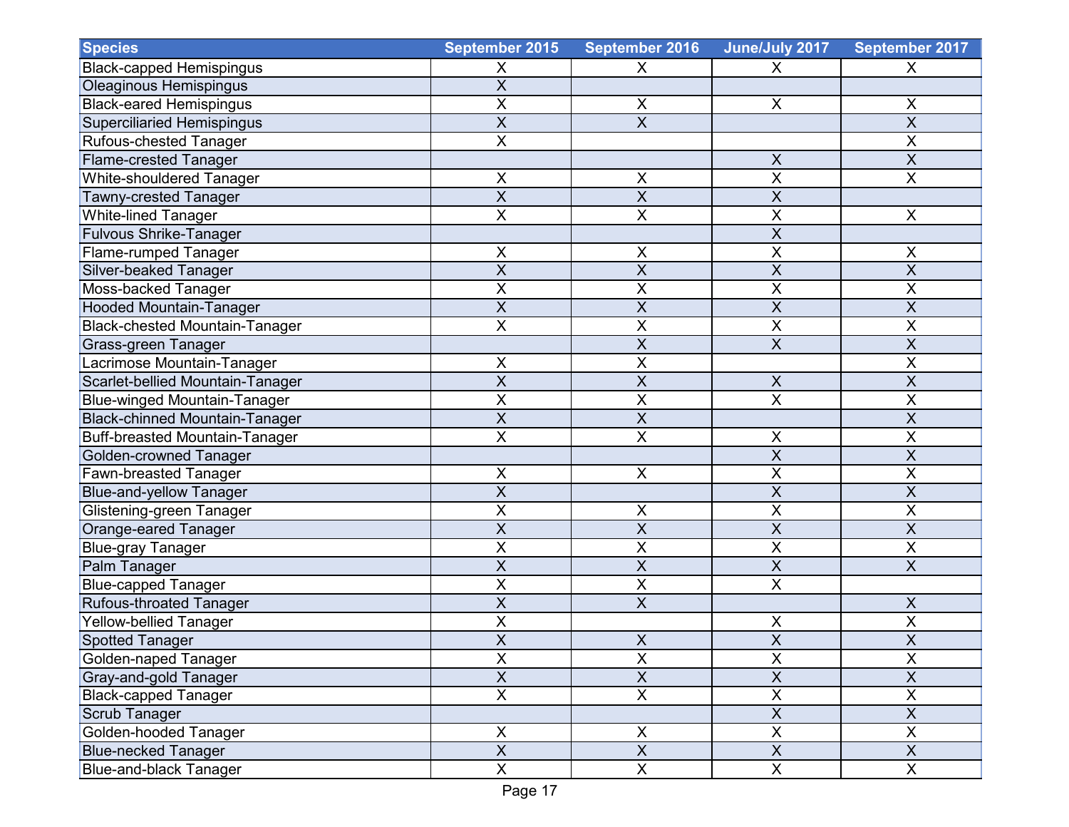| <b>Species</b>                        | September 2015          | <b>September 2016</b>   | June/July 2017            | September 2017          |
|---------------------------------------|-------------------------|-------------------------|---------------------------|-------------------------|
| <b>Black-capped Hemispingus</b>       | X                       | X                       | X                         | X                       |
| <b>Oleaginous Hemispingus</b>         | $\overline{X}$          |                         |                           |                         |
| <b>Black-eared Hemispingus</b>        | $\sf X$                 | X                       | X                         | X                       |
| <b>Superciliaried Hemispingus</b>     | $\overline{X}$          | $\overline{\mathsf{x}}$ |                           | $\overline{\mathsf{x}}$ |
| Rufous-chested Tanager                | $\overline{X}$          |                         |                           | $\mathsf X$             |
| <b>Flame-crested Tanager</b>          |                         |                         | X                         | $\sf X$                 |
| <b>White-shouldered Tanager</b>       | $\pmb{\times}$          | $\pmb{\mathsf{X}}$      | $\overline{X}$            | $\mathsf X$             |
| Tawny-crested Tanager                 | $\overline{X}$          | $\overline{\mathsf{x}}$ | $\overline{\mathsf{x}}$   |                         |
| White-lined Tanager                   | $\mathsf X$             | $\pmb{\mathsf{X}}$      | $\overline{X}$            | X                       |
| <b>Fulvous Shrike-Tanager</b>         |                         |                         | $\overline{\mathsf{x}}$   |                         |
| <b>Flame-rumped Tanager</b>           | $\sf X$                 | $\pmb{\mathsf{X}}$      | X                         | $\mathsf X$             |
| Silver-beaked Tanager                 | $\overline{X}$          | $\overline{\mathsf{x}}$ | $\overline{\mathsf{x}}$   | $\overline{\mathsf{x}}$ |
| Moss-backed Tanager                   | X                       | X                       | X                         | Χ                       |
| <b>Hooded Mountain-Tanager</b>        | $\mathsf{X}$            | X                       | $\sf X$                   | X                       |
| <b>Black-chested Mountain-Tanager</b> | $\overline{\mathsf{X}}$ | X                       | X                         | $\overline{X}$          |
| Grass-green Tanager                   |                         | $\overline{\mathsf{X}}$ | $\overline{X}$            | $\overline{\mathsf{X}}$ |
| Lacrimose Mountain-Tanager            | $\mathsf X$             | X                       |                           | X                       |
| Scarlet-bellied Mountain-Tanager      | $\overline{X}$          | X                       | $\boldsymbol{\mathsf{X}}$ | $\overline{X}$          |
| <b>Blue-winged Mountain-Tanager</b>   | $\overline{X}$          | X                       | $\overline{X}$            | $\sf X$                 |
| <b>Black-chinned Mountain-Tanager</b> | $\overline{X}$          | $\overline{\mathsf{x}}$ |                           | $\overline{X}$          |
| <b>Buff-breasted Mountain-Tanager</b> | $\pmb{\times}$          | X                       | X                         | Χ                       |
| <b>Golden-crowned Tanager</b>         |                         |                         | $\sf X$                   | X                       |
| Fawn-breasted Tanager                 | $\pmb{\times}$          | $\pmb{\times}$          | $\overline{\mathsf{x}}$   | X                       |
| <b>Blue-and-yellow Tanager</b>        | $\overline{X}$          |                         | $\overline{\mathsf{x}}$   | $\overline{\mathsf{X}}$ |
| Glistening-green Tanager              | $\overline{X}$          | $\pmb{\mathsf{X}}$      | X                         | X                       |
| Orange-eared Tanager                  | $\overline{X}$          | X                       | $\overline{\mathsf{x}}$   | $\overline{X}$          |
| Blue-gray Tanager                     | X                       | X                       | X                         | X                       |
| Palm Tanager                          | $\overline{X}$          | X                       | $\overline{X}$            | $\overline{X}$          |
| <b>Blue-capped Tanager</b>            | X                       | X                       | $\sf X$                   |                         |
| Rufous-throated Tanager               | $\sf X$                 | $\sf X$                 |                           | X                       |
| <b>Yellow-bellied Tanager</b>         | $\overline{\mathsf{x}}$ |                         | X                         | $\overline{\mathsf{x}}$ |
| <b>Spotted Tanager</b>                | $\overline{X}$          | $\pmb{\mathsf{X}}$      | $\overline{X}$            | $\overline{X}$          |
| Golden-naped Tanager                  | $\overline{\mathsf{X}}$ | X                       | $\overline{X}$            | $\overline{X}$          |
| Gray-and-gold Tanager                 | $\overline{X}$          | $\overline{X}$          | $\overline{X}$            | $\mathsf{X}$            |
| <b>Black-capped Tanager</b>           | $\mathsf{X}$            | $\overline{\mathsf{X}}$ | $\mathsf X$               | X                       |
| Scrub Tanager                         |                         |                         | $\overline{X}$            | $\overline{X}$          |
| Golden-hooded Tanager                 | $\mathsf{X}$            | $\pmb{\times}$          | $\overline{X}$            | X                       |
| <b>Blue-necked Tanager</b>            | $\mathsf{X}$            | $\overline{X}$          | $\overline{X}$            | $\mathsf{X}$            |
| <b>Blue-and-black Tanager</b>         | $\overline{X}$          | $\overline{\mathsf{x}}$ | $\overline{X}$            | $\mathsf{X}$            |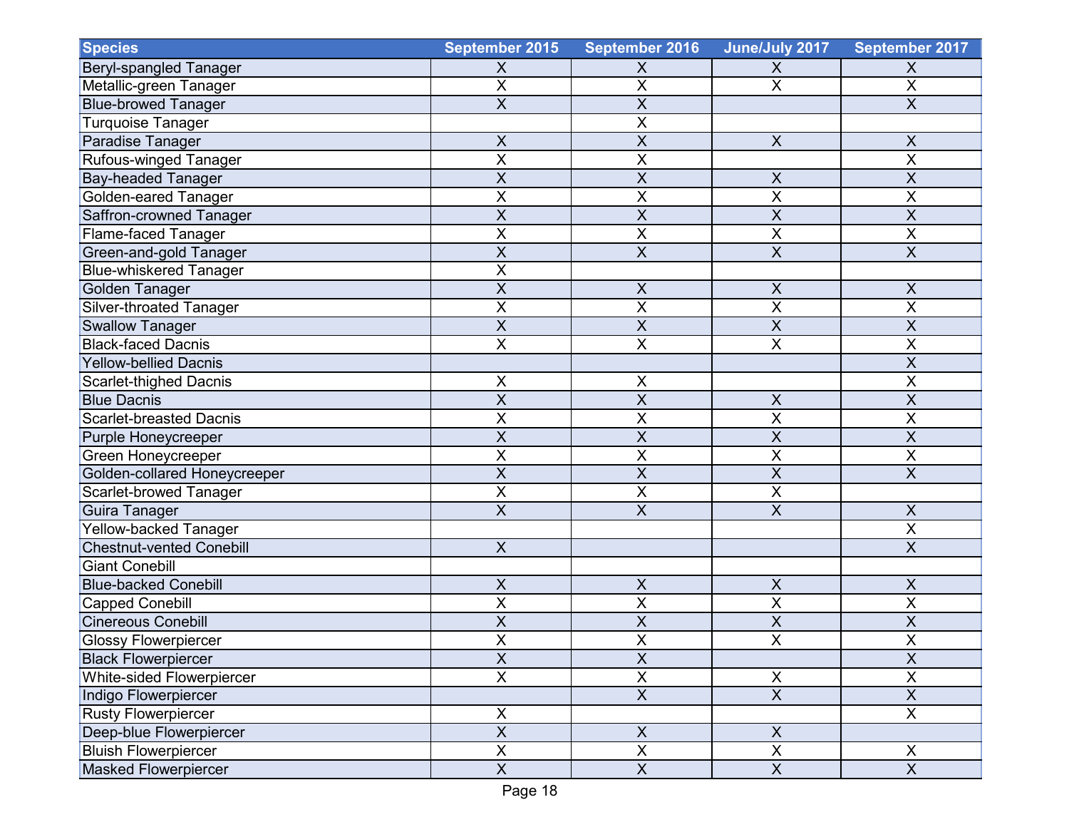| <b>Species</b>                  | September 2015                       | <b>September 2016</b>     | June/July 2017            | September 2017            |
|---------------------------------|--------------------------------------|---------------------------|---------------------------|---------------------------|
| Beryl-spangled Tanager          | $\boldsymbol{\mathsf{X}}$            | $\boldsymbol{\mathsf{X}}$ | X                         | X                         |
| Metallic-green Tanager          | $\sf X$                              | X                         | $\sf X$                   | $\mathsf X$               |
| <b>Blue-browed Tanager</b>      | $\overline{X}$                       | X                         |                           | $\overline{X}$            |
| <b>Turquoise Tanager</b>        |                                      | X                         |                           |                           |
| Paradise Tanager                | $\sf X$                              | X                         | $\pmb{\times}$            | $\boldsymbol{\mathsf{X}}$ |
| Rufous-winged Tanager           | X                                    | X                         |                           | X                         |
| <b>Bay-headed Tanager</b>       | $\overline{X}$                       | X                         | $\sf X$                   | $\sf X$                   |
| Golden-eared Tanager            | $\overline{\mathsf{x}}$              | X                         | $\overline{\mathsf{x}}$   | $\overline{X}$            |
| Saffron-crowned Tanager         | $\overline{X}$                       | $\sf X$                   | $\overline{X}$            | $\sf X$                   |
| <b>Flame-faced Tanager</b>      | X                                    | X                         | X                         | X                         |
| Green-and-gold Tanager          | $\overline{X}$                       | X                         | $\overline{X}$            | $\overline{X}$            |
| <b>Blue-whiskered Tanager</b>   | $\overline{X}$                       |                           |                           |                           |
| Golden Tanager                  | $\boldsymbol{\mathsf{X}}$            | X                         | X                         | X                         |
| <b>Silver-throated Tanager</b>  | $\sf X$                              | Χ                         | $\sf X$                   | X                         |
| <b>Swallow Tanager</b>          | $\overline{\mathsf{X}}$              | $\overline{\mathsf{x}}$   | $\overline{\mathsf{X}}$   | $\overline{\mathsf{X}}$   |
| <b>Black-faced Dacnis</b>       | $\overline{\mathsf{x}}$              | $\overline{\mathsf{X}}$   | $\overline{\mathsf{X}}$   | $\overline{\mathsf{x}}$   |
| <b>Yellow-bellied Dacnis</b>    |                                      |                           |                           | X                         |
| <b>Scarlet-thighed Dacnis</b>   | X                                    | Χ                         |                           | X                         |
| <b>Blue Dacnis</b>              | $\overline{X}$                       | $\overline{\mathsf{X}}$   | $\sf X$                   | $\overline{X}$            |
| <b>Scarlet-breasted Dacnis</b>  | X                                    | X                         | $\overline{\mathsf{x}}$   | X                         |
| Purple Honeycreeper             | $\sf X$                              | X                         | X                         | X                         |
| Green Honeycreeper              | X                                    | X                         | X                         | X                         |
| Golden-collared Honeycreeper    | $\overline{\mathsf{X}}$              | $\overline{X}$            | $\overline{\mathsf{X}}$   | $\overline{\mathsf{X}}$   |
| Scarlet-browed Tanager          | $\overline{\mathsf{X}}$              | $\overline{\mathsf{x}}$   | $\overline{\mathsf{x}}$   |                           |
| Guira Tanager                   | $\overline{X}$                       | X                         | $\overline{X}$            | $\sf X$                   |
| Yellow-backed Tanager           |                                      |                           |                           | $\overline{X}$            |
| <b>Chestnut-vented Conebill</b> | $\mathsf X$                          |                           |                           | $\sf X$                   |
| <b>Giant Conebill</b>           |                                      |                           |                           |                           |
| <b>Blue-backed Conebill</b>     | $\times$                             | X                         | $\sf X$                   | $\sf X$                   |
| <b>Capped Conebill</b>          | X                                    | Χ                         | $\sf X$                   | $\pmb{\times}$            |
| <b>Cinereous Conebill</b>       | $\overline{\mathsf{x}}$              | $\overline{\mathsf{x}}$   | $\overline{\mathsf{x}}$   | $\overline{\mathsf{x}}$   |
| <b>Glossy Flowerpiercer</b>     | $\overline{\mathbf{x}}$<br>$\lambda$ | $\overline{\mathsf{x}}$   | $\overline{\mathsf{x}}$   | $\overline{X}$            |
| <b>Black Flowerpiercer</b>      | $\overline{X}$                       | $\overline{X}$            |                           | $\overline{X}$            |
| White-sided Flowerpiercer       | $\overline{\mathsf{x}}$              | $\overline{X}$            | X                         | $\mathsf X$               |
| Indigo Flowerpiercer            |                                      | $\overline{X}$            | $\overline{X}$            | $\boldsymbol{\mathsf{X}}$ |
| <b>Rusty Flowerpiercer</b>      | $\overline{\mathsf{x}}$              |                           |                           | $\overline{X}$            |
| Deep-blue Flowerpiercer         | $\overline{X}$                       | $\mathsf X$               | $\boldsymbol{\mathsf{X}}$ |                           |
| <b>Bluish Flowerpiercer</b>     | $\pmb{\times}$                       | $\overline{X}$            | $\mathsf X$               | X                         |
| <b>Masked Flowerpiercer</b>     | $\overline{X}$                       | $\overline{X}$            | $\overline{X}$            | $\overline{X}$            |